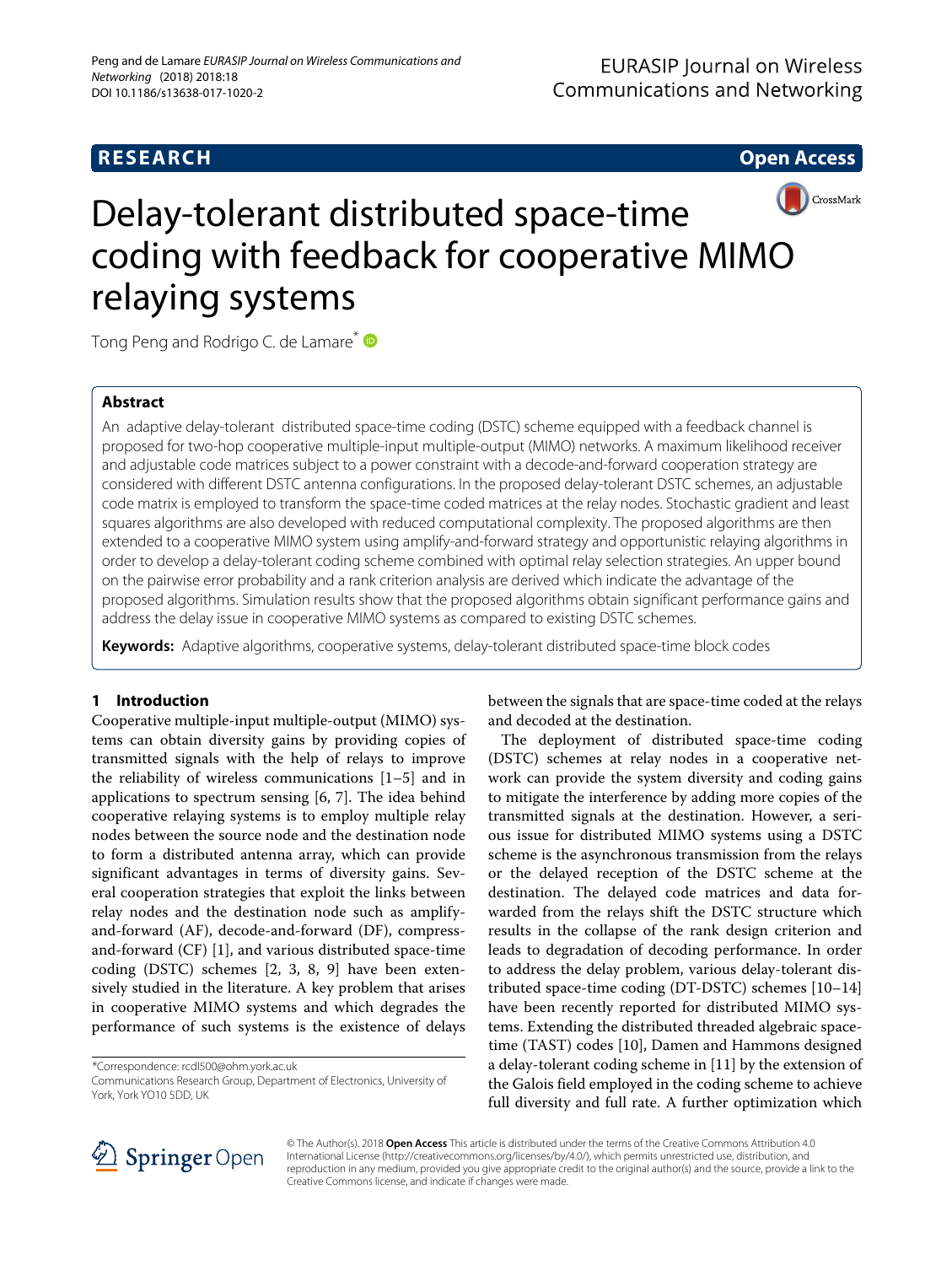# **RESEARCH Open Access**



# Delay-tolerant distributed space-time coding with feedback for cooperative MIMO relaying systems

Tong Peng and Rodrigo C. de Lamare<sup>\*</sup>

# **Abstract**

An adaptive delay-tolerant distributed space-time coding (DSTC) scheme equipped with a feedback channel is proposed for two-hop cooperative multiple-input multiple-output (MIMO) networks. A maximum likelihood receiver and adjustable code matrices subject to a power constraint with a decode-and-forward cooperation strategy are considered with different DSTC antenna configurations. In the proposed delay-tolerant DSTC schemes, an adjustable code matrix is employed to transform the space-time coded matrices at the relay nodes. Stochastic gradient and least squares algorithms are also developed with reduced computational complexity. The proposed algorithms are then extended to a cooperative MIMO system using amplify-and-forward strategy and opportunistic relaying algorithms in order to develop a delay-tolerant coding scheme combined with optimal relay selection strategies. An upper bound on the pairwise error probability and a rank criterion analysis are derived which indicate the advantage of the proposed algorithms. Simulation results show that the proposed algorithms obtain significant performance gains and address the delay issue in cooperative MIMO systems as compared to existing DSTC schemes.

**Keywords:** Adaptive algorithms, cooperative systems, delay-tolerant distributed space-time block codes

# **1 Introduction**

Cooperative multiple-input multiple-output (MIMO) systems can obtain diversity gains by providing copies of transmitted signals with the help of relays to improve the reliability of wireless communications [\[1–](#page-17-0)[5\]](#page-17-1) and in applications to spectrum sensing [\[6,](#page-17-2) [7\]](#page-17-3). The idea behind cooperative relaying systems is to employ multiple relay nodes between the source node and the destination node to form a distributed antenna array, which can provide significant advantages in terms of diversity gains. Several cooperation strategies that exploit the links between relay nodes and the destination node such as amplifyand-forward (AF), decode-and-forward (DF), compressand-forward (CF) [\[1\]](#page-17-0), and various distributed space-time coding (DSTC) schemes [\[2,](#page-17-4) [3,](#page-17-5) [8,](#page-17-6) [9\]](#page-17-7) have been extensively studied in the literature. A key problem that arises in cooperative MIMO systems and which degrades the performance of such systems is the existence of delays

between the signals that are space-time coded at the relays and decoded at the destination.

The deployment of distributed space-time coding (DSTC) schemes at relay nodes in a cooperative network can provide the system diversity and coding gains to mitigate the interference by adding more copies of the transmitted signals at the destination. However, a serious issue for distributed MIMO systems using a DSTC scheme is the asynchronous transmission from the relays or the delayed reception of the DSTC scheme at the destination. The delayed code matrices and data forwarded from the relays shift the DSTC structure which results in the collapse of the rank design criterion and leads to degradation of decoding performance. In order to address the delay problem, various delay-tolerant distributed space-time coding (DT-DSTC) schemes [\[10](#page-17-8)[–14\]](#page-17-9) have been recently reported for distributed MIMO systems. Extending the distributed threaded algebraic spacetime (TAST) codes [\[10\]](#page-17-8), Damen and Hammons designed a delay-tolerant coding scheme in [\[11\]](#page-17-10) by the extension of the Galois field employed in the coding scheme to achieve full diversity and full rate. A further optimization which



© The Author(s). 2018 **Open Access** This article is distributed under the terms of the Creative Commons Attribution 4.0 International License [\(http://creativecommons.org/licenses/by/4.0/\)](http://creativecommons.org/licenses/by/4.0/), which permits unrestricted use, distribution, and reproduction in any medium, provided you give appropriate credit to the original author(s) and the source, provide a link to the Creative Commons license, and indicate if changes were made.

<sup>\*</sup>Correspondence: [rcdl500@ohm.york.ac.uk](mailto: rcdl500@ohm.york.ac.uk)

Communications Research Group, Department of Electronics, University of York, York YO10 5DD, UK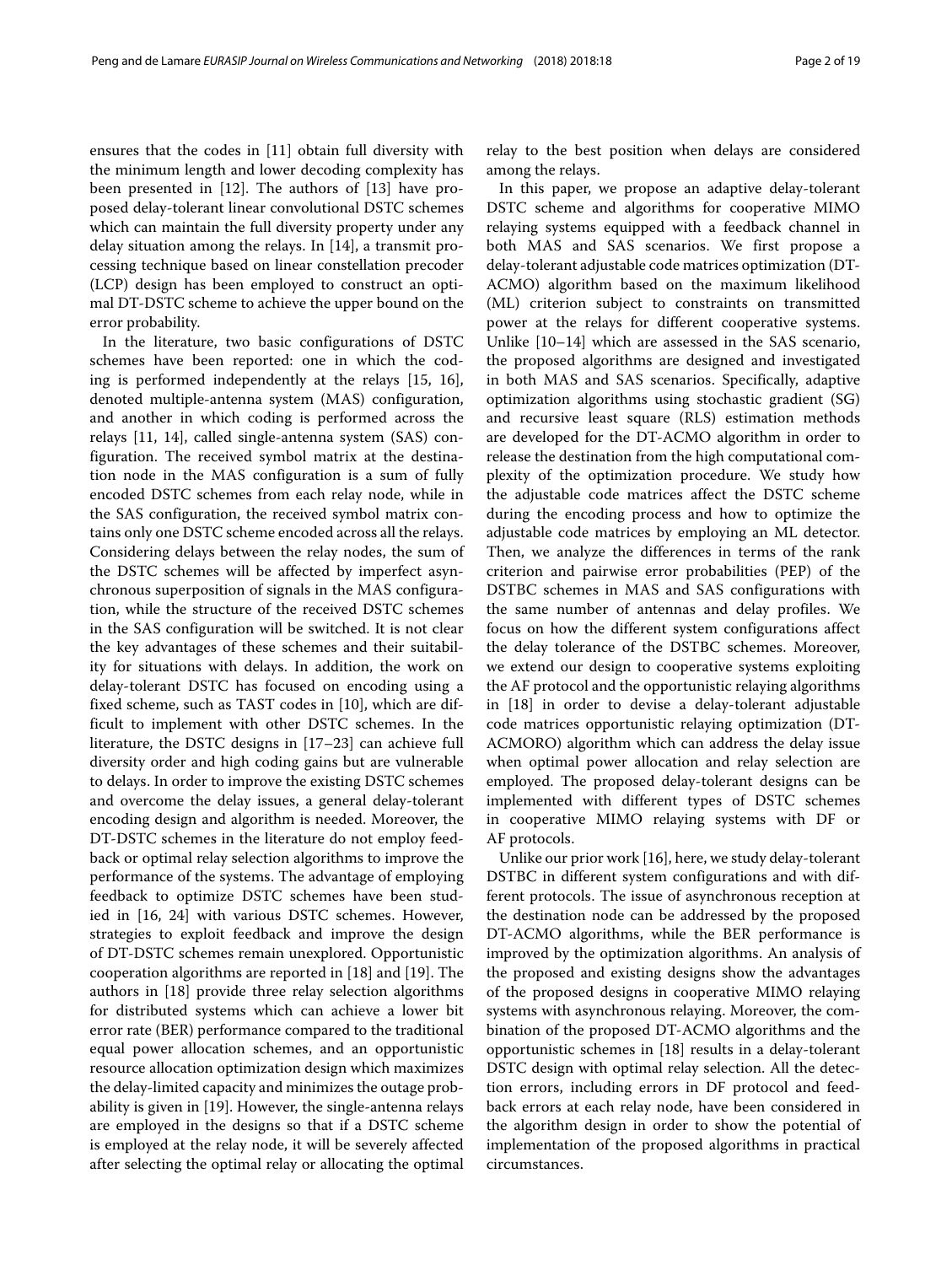ensures that the codes in [\[11\]](#page-17-10) obtain full diversity with the minimum length and lower decoding complexity has been presented in [\[12\]](#page-17-11). The authors of [\[13\]](#page-17-12) have proposed delay-tolerant linear convolutional DSTC schemes which can maintain the full diversity property under any delay situation among the relays. In [\[14\]](#page-17-9), a transmit processing technique based on linear constellation precoder (LCP) design has been employed to construct an optimal DT-DSTC scheme to achieve the upper bound on the error probability.

In the literature, two basic configurations of DSTC schemes have been reported: one in which the coding is performed independently at the relays [\[15,](#page-17-13) [16\]](#page-17-14), denoted multiple-antenna system (MAS) configuration, and another in which coding is performed across the relays [\[11,](#page-17-10) [14\]](#page-17-9), called single-antenna system (SAS) configuration. The received symbol matrix at the destination node in the MAS configuration is a sum of fully encoded DSTC schemes from each relay node, while in the SAS configuration, the received symbol matrix contains only one DSTC scheme encoded across all the relays. Considering delays between the relay nodes, the sum of the DSTC schemes will be affected by imperfect asynchronous superposition of signals in the MAS configuration, while the structure of the received DSTC schemes in the SAS configuration will be switched. It is not clear the key advantages of these schemes and their suitability for situations with delays. In addition, the work on delay-tolerant DSTC has focused on encoding using a fixed scheme, such as TAST codes in [\[10\]](#page-17-8), which are difficult to implement with other DSTC schemes. In the literature, the DSTC designs in [\[17–](#page-17-15)[23\]](#page-17-16) can achieve full diversity order and high coding gains but are vulnerable to delays. In order to improve the existing DSTC schemes and overcome the delay issues, a general delay-tolerant encoding design and algorithm is needed. Moreover, the DT-DSTC schemes in the literature do not employ feedback or optimal relay selection algorithms to improve the performance of the systems. The advantage of employing feedback to optimize DSTC schemes have been studied in [\[16,](#page-17-14) [24\]](#page-17-17) with various DSTC schemes. However, strategies to exploit feedback and improve the design of DT-DSTC schemes remain unexplored. Opportunistic cooperation algorithms are reported in [\[18\]](#page-17-18) and [\[19\]](#page-17-19). The authors in [\[18\]](#page-17-18) provide three relay selection algorithms for distributed systems which can achieve a lower bit error rate (BER) performance compared to the traditional equal power allocation schemes, and an opportunistic resource allocation optimization design which maximizes the delay-limited capacity and minimizes the outage probability is given in [\[19\]](#page-17-19). However, the single-antenna relays are employed in the designs so that if a DSTC scheme is employed at the relay node, it will be severely affected after selecting the optimal relay or allocating the optimal

relay to the best position when delays are considered among the relays.

In this paper, we propose an adaptive delay-tolerant DSTC scheme and algorithms for cooperative MIMO relaying systems equipped with a feedback channel in both MAS and SAS scenarios. We first propose a delay-tolerant adjustable code matrices optimization (DT-ACMO) algorithm based on the maximum likelihood (ML) criterion subject to constraints on transmitted power at the relays for different cooperative systems. Unlike [\[10–](#page-17-8)[14\]](#page-17-9) which are assessed in the SAS scenario, the proposed algorithms are designed and investigated in both MAS and SAS scenarios. Specifically, adaptive optimization algorithms using stochastic gradient (SG) and recursive least square (RLS) estimation methods are developed for the DT-ACMO algorithm in order to release the destination from the high computational complexity of the optimization procedure. We study how the adjustable code matrices affect the DSTC scheme during the encoding process and how to optimize the adjustable code matrices by employing an ML detector. Then, we analyze the differences in terms of the rank criterion and pairwise error probabilities (PEP) of the DSTBC schemes in MAS and SAS configurations with the same number of antennas and delay profiles. We focus on how the different system configurations affect the delay tolerance of the DSTBC schemes. Moreover, we extend our design to cooperative systems exploiting the AF protocol and the opportunistic relaying algorithms in [\[18\]](#page-17-18) in order to devise a delay-tolerant adjustable code matrices opportunistic relaying optimization (DT-ACMORO) algorithm which can address the delay issue when optimal power allocation and relay selection are employed. The proposed delay-tolerant designs can be implemented with different types of DSTC schemes in cooperative MIMO relaying systems with DF or AF protocols.

Unlike our prior work [\[16\]](#page-17-14), here, we study delay-tolerant DSTBC in different system configurations and with different protocols. The issue of asynchronous reception at the destination node can be addressed by the proposed DT-ACMO algorithms, while the BER performance is improved by the optimization algorithms. An analysis of the proposed and existing designs show the advantages of the proposed designs in cooperative MIMO relaying systems with asynchronous relaying. Moreover, the combination of the proposed DT-ACMO algorithms and the opportunistic schemes in [\[18\]](#page-17-18) results in a delay-tolerant DSTC design with optimal relay selection. All the detection errors, including errors in DF protocol and feedback errors at each relay node, have been considered in the algorithm design in order to show the potential of implementation of the proposed algorithms in practical circumstances.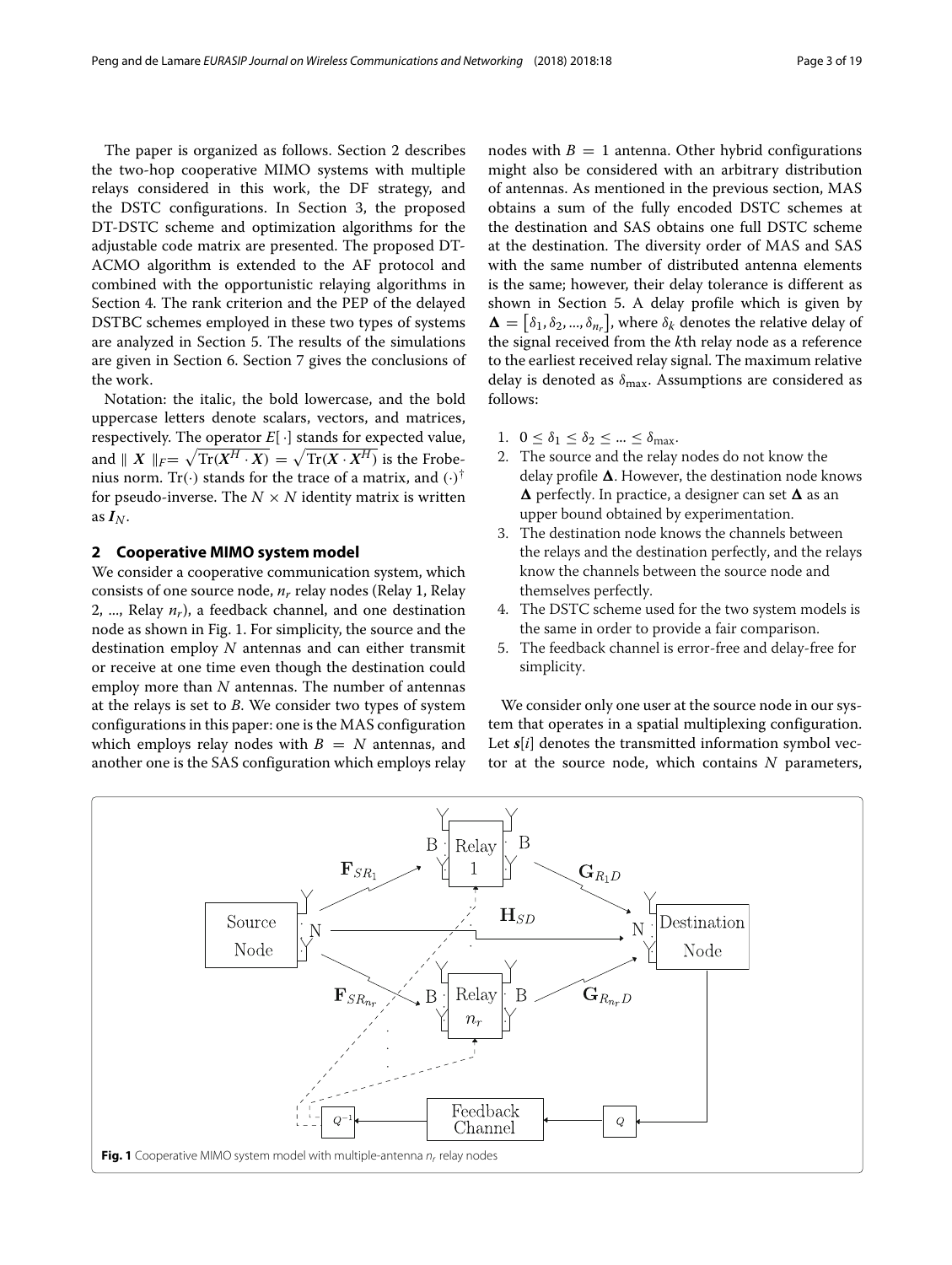The paper is organized as follows. Section [2](#page-2-0) describes the two-hop cooperative MIMO systems with multiple relays considered in this work, the DF strategy, and the DSTC configurations. In Section [3,](#page-4-0) the proposed DT-DSTC scheme and optimization algorithms for the adjustable code matrix are presented. The proposed DT-ACMO algorithm is extended to the AF protocol and combined with the opportunistic relaying algorithms in Section [4.](#page-8-0) The rank criterion and the PEP of the delayed DSTBC schemes employed in these two types of systems are analyzed in Section [5.](#page-9-0) The results of the simulations are given in Section [6.](#page-13-0) Section [7](#page-16-0) gives the conclusions of the work.

Notation: the italic, the bold lowercase, and the bold uppercase letters denote scalars, vectors, and matrices, respectively. The operator  $E[\cdot]$  stands for expected value, and  $\parallel X \parallel_F = \sqrt{\text{Tr}(X^H \cdot X)} = \sqrt{\text{Tr}(X \cdot X^H)}$  is the Frobenius norm. Tr( $\cdot$ ) stands for the trace of a matrix, and  $(\cdot)^\dagger$ for pseudo-inverse. The  $N \times N$  identity matrix is written as  $I_N$ .

# <span id="page-2-0"></span>**2 Cooperative MIMO system model**

We consider a cooperative communication system, which consists of one source node, *nr* relay nodes (Relay 1, Relay 2, ..., Relay  $n_r$ ), a feedback channel, and one destination node as shown in Fig. [1.](#page-2-1) For simplicity, the source and the destination employ *N* antennas and can either transmit or receive at one time even though the destination could employ more than *N* antennas. The number of antennas at the relays is set to *B*. We consider two types of system configurations in this paper: one is the MAS configuration which employs relay nodes with  $B = N$  antennas, and another one is the SAS configuration which employs relay

nodes with  $B = 1$  antenna. Other hybrid configurations might also be considered with an arbitrary distribution of antennas. As mentioned in the previous section, MAS obtains a sum of the fully encoded DSTC schemes at the destination and SAS obtains one full DSTC scheme at the destination. The diversity order of MAS and SAS with the same number of distributed antenna elements is the same; however, their delay tolerance is different as shown in Section [5.](#page-9-0) A delay profile which is given by  $\mathbf{\Delta} = [\delta_1, \delta_2, ..., \delta_{n_r}]$ , where  $\delta_k$  denotes the relative delay of the signal received from the *k*th relay node as a reference to the earliest received relay signal. The maximum relative delay is denoted as  $\delta_{\text{max}}$ . Assumptions are considered as follows:

- 1.  $0 \leq \delta_1 \leq \delta_2 \leq ... \leq \delta_{\text{max}}$ .
- 2. The source and the relay nodes do not know the delay profile  $\Delta$ . However, the destination node knows **∆** perfectly. In practice, a designer can set **∆** as an upper bound obtained by experimentation.
- 3. The destination node knows the channels between the relays and the destination perfectly, and the relays know the channels between the source node and themselves perfectly.
- 4. The DSTC scheme used for the two system models is the same in order to provide a fair comparison.
- 5. The feedback channel is error-free and delay-free for simplicity.

We consider only one user at the source node in our system that operates in a spatial multiplexing configuration. Let *s*[*i*] denotes the transmitted information symbol vector at the source node, which contains *N* parameters,

<span id="page-2-1"></span>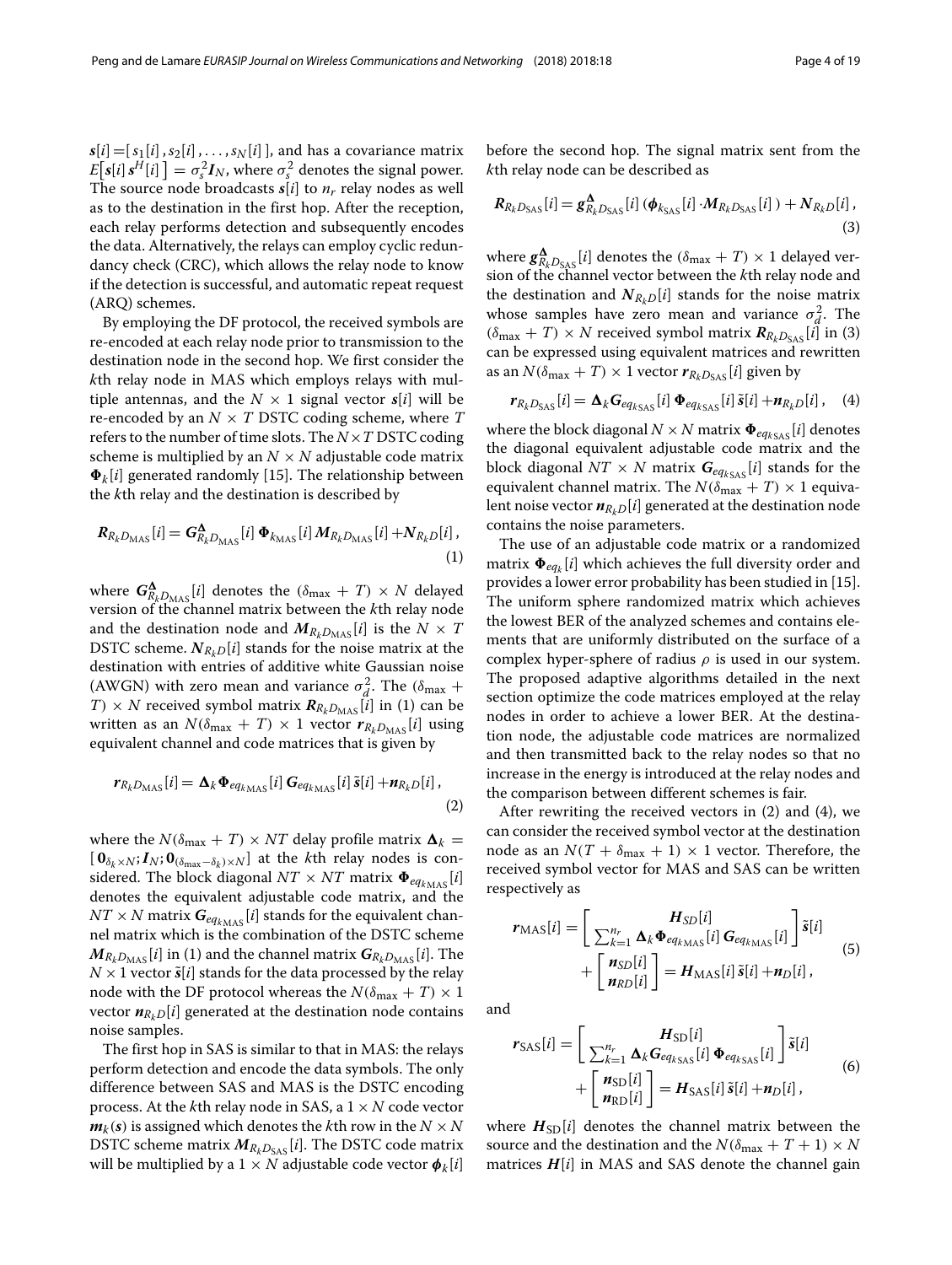$s[i] = [s_1[i], s_2[i], \ldots, s_N[i]$ , and has a covariance matrix  $E[s[i] s<sup>H</sup>[i]] = \sigma_s^2 \mathbf{I}_N$ , where  $\sigma_s^2$  denotes the signal power. The source node broadcasts  $s[i]$  to  $n_r$  relay nodes as well as to the destination in the first hop. After the reception, each relay performs detection and subsequently encodes the data. Alternatively, the relays can employ cyclic redundancy check (CRC), which allows the relay node to know if the detection is successful, and automatic repeat request (ARQ) schemes.

By employing the DF protocol, the received symbols are re-encoded at each relay node prior to transmission to the destination node in the second hop. We first consider the *k*th relay node in MAS which employs relays with multiple antennas, and the  $N \times 1$  signal vector  $s[i]$  will be re-encoded by an *N* × *T* DSTC coding scheme, where *T* refers to the number of time slots. The  $N \times T$  DSTC coding scheme is multiplied by an  $N \times N$  adjustable code matrix  $\Phi_k[i]$  generated randomly [\[15\]](#page-17-13). The relationship between the *k*th relay and the destination is described by

$$
R_{R_k D_{\text{MAS}}}[i] = G_{R_k D_{\text{MAS}}}[i] \, \Phi_{k_{\text{MAS}}}[i] \, M_{R_k D_{\text{MAS}}}[i] + N_{R_k D}[i],\tag{1}
$$

where  $G^{\mathbf{\Delta}}_{R_k D_\mathrm{MAS}}[i]$  denotes the  $(\delta_\mathrm{max} + T) \times N$  delayed version of the channel matrix between the *k*th relay node and the destination node and  $M_{R_kD_{\text{MAS}}}[i]$  is the  $N \times T$ DSTC scheme.  $N_{R_bD}[i]$  stands for the noise matrix at the destination with entries of additive white Gaussian noise (AWGN) with zero mean and variance  $\sigma_d^2$ . The ( $\delta_{\text{max}}$  +  $T \times N$  received symbol matrix  $R_{R_kD_{\text{MAS}}}[\tilde{i}]$  in [\(1\)](#page-3-0) can be written as an  $N(\delta_{\text{max}} + T) \times 1$  vector  $r_{R_kD_{\text{MAS}}}[i]$  using equivalent channel and code matrices that is given by

$$
r_{R_k D_{\text{MAS}}}[i] = \Delta_k \Phi_{eq_{k_{\text{MAS}}}}[i] G_{eq_{k_{\text{MAS}}}}[i] \tilde{s}[i] + n_{R_k D}[i],
$$
\n(2)

where the  $N(\delta_{\text{max}} + T) \times NT$  delay profile matrix  $\mathbf{\Delta}_k =$  $[$  **0**<sub> $\delta_k$ ×*N*</sub>;  $I_N$ ; **0** $(\delta_{\max}-\delta_k)$ ×*N*] at the *k*th relay nodes is considered. The block diagonal  $NT \times NT$  matrix  $\Phi_{eq_{k\text{MAS}}}[i]$ denotes the equivalent adjustable code matrix, and the  $NT \times N$  matrix  $G_{eq_{k_{\text{MAS}}}}[i]$  stands for the equivalent channel matrix which is the combination of the DSTC scheme  $M_{R_kD_{\text{MAS}}}[i]$  in [\(1\)](#page-3-0) and the channel matrix  $G_{R_kD_{\text{MAS}}}[i]$ . The  $N \times 1$  vector  $\tilde{s}[i]$  stands for the data processed by the relay node with the DF protocol whereas the  $N(\delta_{\text{max}} + T) \times 1$ vector  $n_{R_kD}[i]$  generated at the destination node contains noise samples.

The first hop in SAS is similar to that in MAS: the relays perform detection and encode the data symbols. The only difference between SAS and MAS is the DSTC encoding process. At the *k*th relay node in SAS, a 1 × *N* code vector  $m_k(s)$  is assigned which denotes the *k*th row in the  $N \times N$ DSTC scheme matrix  $M_{R_kD_{\text{SAS}}}[i]$ . The DSTC code matrix will be multiplied by a  $1 \times N$  adjustable code vector  $\boldsymbol{\phi}_k[i]$ 

before the second hop. The signal matrix sent from the *k*th relay node can be described as

<span id="page-3-1"></span>
$$
R_{R_k D_{\text{SAS}}}[i] = g_{R_k D_{\text{SAS}}}^{\Delta}[i] \left( \phi_{k_{\text{SAS}}}[i] \cdot M_{R_k D_{\text{SAS}}}[i] \right) + N_{R_k D}[i],
$$
\n(3)

where  $g_{R_kD_{\rm SAS}}^{\bf\Delta}[i]$  denotes the  $(\delta_{\rm max}+T)\times 1$  delayed version of the channel vector between the *k*th relay node and the destination and  $N_{R_kD}[i]$  stands for the noise matrix whose samples have zero mean and variance  $\sigma_d^2$ . The  $(\delta_{\text{max}} + T) \times N$  received symbol matrix  $R_{R_kD_{\text{SAS}}}[i]$  in [\(3\)](#page-3-1) can be expressed using equivalent matrices and rewritten as an  $N(\delta_{\text{max}} + T) \times 1$  vector  $r_{R_kD_{\text{SAS}}}[i]$  given by

<span id="page-3-3"></span>
$$
r_{R_k D_{\text{SAS}}}[i] = \Delta_k G_{eq_{k\text{SAS}}}[i] \Phi_{eq_{k\text{SAS}}} [i] \tilde{s}[i] + n_{R_k D}[i], \quad (4)
$$

where the block diagonal  $N \times N$  matrix  $\Phi_{eq_{kSAS}}[i]$  denotes the diagonal equivalent adjustable code matrix and the block diagonal  $NT \times N$  matrix  $G_{eq_{k_{SAS}}}[i]$  stands for the equivalent channel matrix. The  $N(\delta_{\text{max}} + T) \times 1$  equivalent noise vector  $n_{R_kD}[i]$  generated at the destination node contains the noise parameters.

<span id="page-3-0"></span>The use of an adjustable code matrix or a randomized matrix  $\mathbf{\Phi}_{eq_k}[i]$  which achieves the full diversity order and provides a lower error probability has been studied in [\[15\]](#page-17-13). The uniform sphere randomized matrix which achieves the lowest BER of the analyzed schemes and contains elements that are uniformly distributed on the surface of a complex hyper-sphere of radius  $\rho$  is used in our system. The proposed adaptive algorithms detailed in the next section optimize the code matrices employed at the relay nodes in order to achieve a lower BER. At the destination node, the adjustable code matrices are normalized and then transmitted back to the relay nodes so that no increase in the energy is introduced at the relay nodes and the comparison between different schemes is fair.

<span id="page-3-2"></span>After rewriting the received vectors in [\(2\)](#page-3-2) and [\(4\)](#page-3-3), we can consider the received symbol vector at the destination node as an  $N(T + \delta_{\text{max}} + 1) \times 1$  vector. Therefore, the received symbol vector for MAS and SAS can be written respectively as

<span id="page-3-4"></span>
$$
r_{\text{MAS}}[i] = \left[ \frac{H_{SD}[i]}{\sum_{k=1}^{n_r} \Delta_k \Phi_{eq_{k_{\text{MAS}}}}[i] G_{eq_{k_{\text{MAS}}}}[i] } \right] \tilde{s}[i] + \left[ \frac{n_{SD}[i]}{n_{RD}[i]} \right] = H_{\text{MAS}}[i] \tilde{s}[i] + n_D[i], \tag{5}
$$

and

$$
r_{\text{SAS}}[i] = \left[\begin{array}{c} H_{\text{SD}}[i] \\ \sum_{k=1}^{n_r} \Delta_k G_{eq_{k_{\text{SAS}}}}[i] \Phi_{eq_{k_{\text{SAS}}}}[i] \end{array}\right] \tilde{s}[i] + \left[\begin{array}{c} n_{\text{SD}}[i] \\ n_{\text{SD}}[i] \end{array}\right] = H_{\text{SAS}}[i] \tilde{s}[i] + n_D[i], \tag{6}
$$

where  $H_{SD}[i]$  denotes the channel matrix between the source and the destination and the  $N(\delta_{\text{max}} + T + 1) \times N$ matrices  $H[i]$  in MAS and SAS denote the channel gain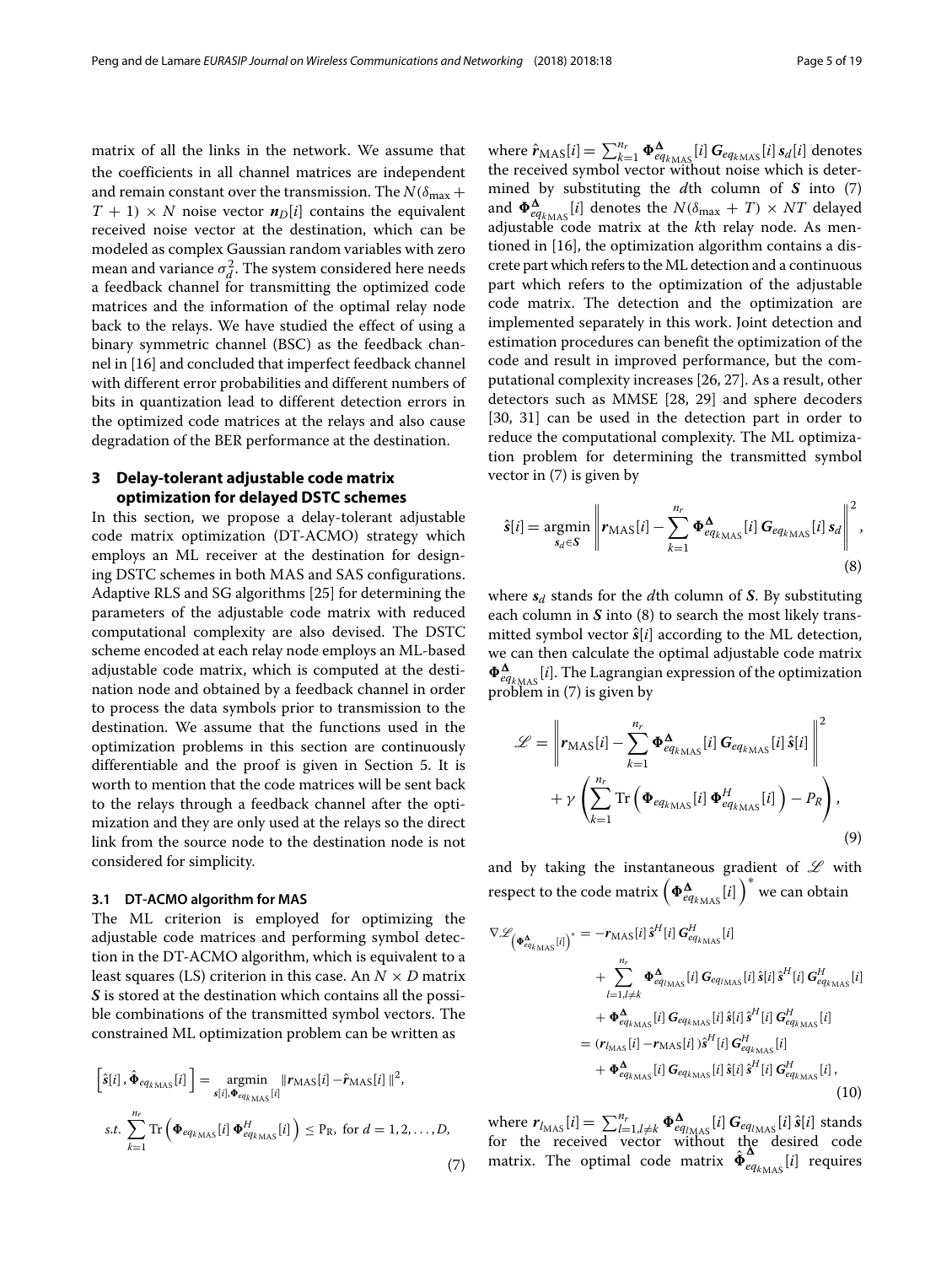matrix of all the links in the network. We assume that the coefficients in all channel matrices are independent and remain constant over the transmission. The  $N(\delta_{\text{max}} +$  $T + 1$ ) × *N* noise vector  $n_D[i]$  contains the equivalent received noise vector at the destination, which can be modeled as complex Gaussian random variables with zero mean and variance  $\sigma_d^2$ . The system considered here needs a feedback channel for transmitting the optimized code matrices and the information of the optimal relay node back to the relays. We have studied the effect of using a binary symmetric channel (BSC) as the feedback channel in [\[16\]](#page-17-14) and concluded that imperfect feedback channel with different error probabilities and different numbers of bits in quantization lead to different detection errors in the optimized code matrices at the relays and also cause degradation of the BER performance at the destination.

# <span id="page-4-0"></span>**3 Delay-tolerant adjustable code matrix optimization for delayed DSTC schemes**

In this section, we propose a delay-tolerant adjustable code matrix optimization (DT-ACMO) strategy which employs an ML receiver at the destination for designing DSTC schemes in both MAS and SAS configurations. Adaptive RLS and SG algorithms [\[25\]](#page-18-0) for determining the parameters of the adjustable code matrix with reduced computational complexity are also devised. The DSTC scheme encoded at each relay node employs an ML-based adjustable code matrix, which is computed at the destination node and obtained by a feedback channel in order to process the data symbols prior to transmission to the destination. We assume that the functions used in the optimization problems in this section are continuously differentiable and the proof is given in Section [5.](#page-9-0) It is worth to mention that the code matrices will be sent back to the relays through a feedback channel after the optimization and they are only used at the relays so the direct link from the source node to the destination node is not considered for simplicity.

# **3.1 DT-ACMO algorithm for MAS**

The ML criterion is employed for optimizing the adjustable code matrices and performing symbol detection in the DT-ACMO algorithm, which is equivalent to a least squares (LS) criterion in this case. An  $N \times D$  matrix *S* is stored at the destination which contains all the possible combinations of the transmitted symbol vectors. The constrained ML optimization problem can be written as

$$
\begin{aligned}\n\left[\hat{\mathbf{s}}[i], \hat{\mathbf{\Phi}}_{eq_{k_{\text{MAS}}}}[i]\right] &= \underset{\mathbf{s}[i], \mathbf{\Phi}_{eq_{k_{\text{MAS}}}}[i]}{\operatorname{argmin}} \|\mathbf{r}_{\text{MAS}}[i] - \hat{\mathbf{r}}_{\text{MAS}}[i]\|^2, \\
\text{s.t.} \sum_{k=1}^{n_r} \operatorname{Tr}\left(\mathbf{\Phi}_{eq_{k_{\text{MAS}}}}[i]\,\mathbf{\Phi}_{eq_{k_{\text{MAS}}}}^H[i]\right) &\leq \operatorname{P}_{\text{R}}, \text{ for } d = 1, 2, \dots, D,\n\end{aligned} \tag{7}
$$

where  $\hat{r}_{\text{MAS}}[i] = \sum_{k=1}^{n_r} \Phi_{eq_{k_{\text{MAS}}}}^{\Delta}[i] G_{eq_{k_{\text{MAS}}}}[i] s_d[i]$  denotes the received symbol vector without noise which is determined by substituting the *d*th column of *S* into [\(7\)](#page-4-1) and  $\pmb{\Phi}^{\pmb{\Delta}}_{eq_{k_{\text{MAS}}}}[i]$  denotes the  $N(\delta_{\text{max}} + T) \times NT$  delayed adjustable code matrix at the *k*th relay node. As mentioned in [\[16\]](#page-17-14), the optimization algorithm contains a discrete part which refers to theML detection and a continuous part which refers to the optimization of the adjustable code matrix. The detection and the optimization are implemented separately in this work. Joint detection and estimation procedures can benefit the optimization of the code and result in improved performance, but the computational complexity increases [\[26,](#page-18-1) [27\]](#page-18-2). As a result, other detectors such as MMSE [\[28,](#page-18-3) [29\]](#page-18-4) and sphere decoders [\[30,](#page-18-5) [31\]](#page-18-6) can be used in the detection part in order to reduce the computational complexity. The ML optimization problem for determining the transmitted symbol vector in [\(7\)](#page-4-1) is given by

<span id="page-4-2"></span>
$$
\hat{s}[i] = \underset{s_d \in S}{\text{argmin}} \left\| r_{\text{MAS}}[i] - \sum_{k=1}^{n_r} \Phi_{eq_{k_{\text{MAS}}}}^{\Delta}[i] \, G_{eq_{k_{\text{MAS}}}}[i] \, s_d \right\|^2,
$$
\n(8)

where *s<sup>d</sup>* stands for the *d*th column of *S*. By substituting each column in *S* into [\(8\)](#page-4-2) to search the most likely transmitted symbol vector  $\hat{s}[i]$  according to the ML detection, we can then calculate the optimal adjustable code matrix  $\Phi^\mathbf{A}_{eq_{k_{\text{MAS}}}}[i]$ . The Lagrangian expression of the optimization problem in [\(7\)](#page-4-1) is given by

<span id="page-4-3"></span>
$$
\mathcal{L} = \left\| \mathbf{r}_{\text{MAS}}[i] - \sum_{k=1}^{n_r} \boldsymbol{\Phi}_{eq_{k_{\text{MAS}}}}^{\Delta}[i] \, \boldsymbol{G}_{eq_{k_{\text{MAS}}}}[i] \, \hat{\boldsymbol{s}}[i] \right\|^2
$$

$$
+ \gamma \left( \sum_{k=1}^{n_r} \text{Tr} \left( \boldsymbol{\Phi}_{eq_{k_{\text{MAS}}}}[i] \, \boldsymbol{\Phi}_{eq_{k_{\text{MAS}}}}^H[i] \right) - P_R \right), \tag{9}
$$

and by taking the instantaneous gradient of  $L$  with respect to the code matrix  $\left(\bm{\Phi}_{eq_{k_{\text{MAS}}}}^{\bm{\Delta}}[i]\right)^{*}$  we can obtain

$$
\nabla \mathcal{L}_{\left(\Phi_{eq_{k_{\rm MAS}}}^{\Delta}[i]\right)^{*}} = -r_{\rm MAS}[i] \hat{s}^{H}[i] G_{eq_{k_{\rm MAS}}}^{H}[i]
$$
  
+ 
$$
\sum_{l=1,l\neq k}^{n_r} \Phi_{eq_{l_{\rm MAS}}}^{\Delta}[i] G_{eq_{l_{\rm MAS}}} [i] \hat{s}[i] \hat{s}^{H}[i] G_{eq_{k_{\rm MAS}}}^{H}[i]
$$
  
+ 
$$
\Phi_{eq_{k_{\rm MAS}}}^{\Delta}[i] G_{eq_{k_{\rm MAS}}} [i] \hat{s}[i] \hat{s}^{H}[i] G_{eq_{k_{\rm MAS}}}^{H}[i]
$$
  
= 
$$
(r_{l_{\rm MAS}}[i] - r_{\rm MAS}[i]) \hat{s}^{H}[i] G_{eq_{k_{\rm MAS}}}^{H}[i]
$$
  
+ 
$$
\Phi_{eq_{k_{\rm MAS}}}^{\Delta}[i] G_{eq_{k_{\rm MAS}}} [i] \hat{s}[i] \hat{s}^{H}[i] G_{eq_{k_{\rm MAS}}}^{H}[i]
$$
  
+ 
$$
\Phi_{eq_{k_{\rm MAS}}}^{\Delta}[i] G_{eq_{k_{\rm MAS}}} [i] \hat{s}[i] \hat{s}^{H}[i] G_{eq_{k_{\rm MAS}}}^{H}[i]
$$
  
(10)

<span id="page-4-1"></span>where  $r_{l_{\text{MAS}}}[i] = \sum_{l=1, l \neq k}^{n_r} \Phi_{eq_{l_{\text{MAS}}}}^{\Delta}[i] G_{eq_{l_{\text{MAS}}}}[i] \hat{s}[i]$  stands for the received vector without the desired code matrix. The optimal code matrix  $\hat{\Phi}^{\Delta}_{eq_{k_{\rm MAS}}}[i]$  requires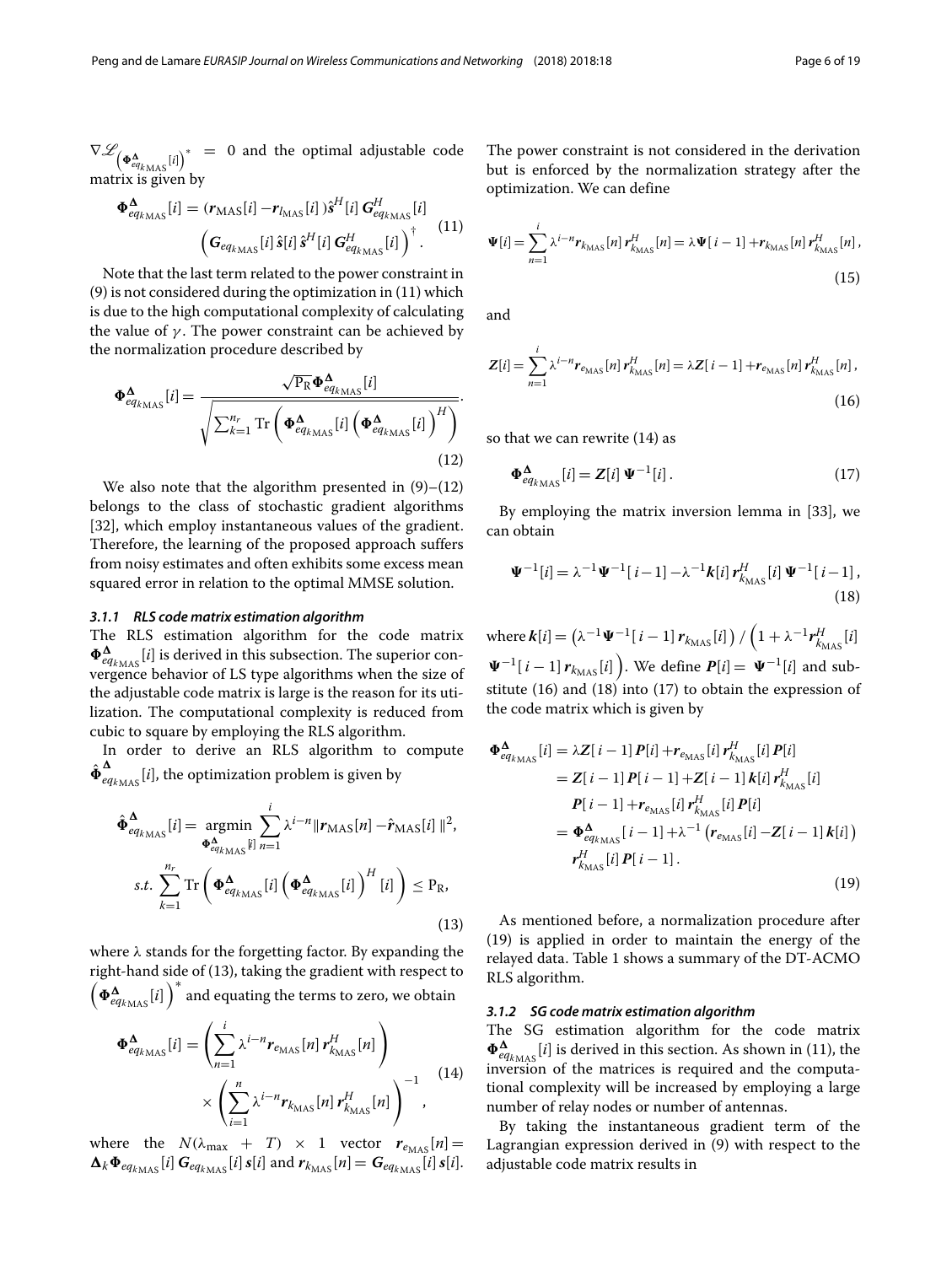$\nabla \mathscr{L}_{\left(\boldsymbol{\Phi}_{eq_{k\text{MAS}}^{^{\boldsymbol{\Delta}}}[i]\right)^{*}}\ \, =\ \, 0$  and the optimal adjustable code matrix is given by

<span id="page-5-0"></span>
$$
\Phi_{eq_{k_{\rm MAS}}^{A}}^{A}[i] = (r_{\rm MAS}[i] - r_{l_{\rm MAS}}[i])\hat{s}^{H}[i] G_{eq_{k_{\rm MAS}}^{H}[i]}^{H} \tag{11}
$$
\n
$$
\left(G_{eq_{k_{\rm MAS}}[i]}\hat{s}[i]\hat{s}^{H}[i] G_{eq_{k_{\rm MAS}}^{H}[i]}^{H} \right)^{\dagger}.
$$

Note that the last term related to the power constraint in [\(9\)](#page-4-3) is not considered during the optimization in [\(11\)](#page-5-0) which is due to the high computational complexity of calculating the value of  $\gamma$ . The power constraint can be achieved by the normalization procedure described by

$$
\Phi_{eq_{k_{\rm MAS}}}^{\Delta}[i] = \frac{\sqrt{\mathrm{P_R}} \Phi_{eq_{k_{\rm MAS}}}^{\Delta}[i]}{\sqrt{\sum_{k=1}^{n_{r}} \mathrm{Tr} \left(\Phi_{eq_{k_{\rm MAS}}}^{\Delta}[i] \left(\Phi_{eq_{k_{\rm MAS}}}^{\Delta}[i]\right)^{H}\right)}}.
$$
\n(12)

We also note that the algorithm presented in  $(9)$ – $(12)$ belongs to the class of stochastic gradient algorithms [\[32\]](#page-18-7), which employ instantaneous values of the gradient. Therefore, the learning of the proposed approach suffers from noisy estimates and often exhibits some excess mean squared error in relation to the optimal MMSE solution.

#### *3.1.1 RLS code matrix estimation algorithm*

The RLS estimation algorithm for the code matrix  $\Phi^\mathbf{A}_{eq_{k_{\rm MAS}}}[i]$  is derived in this subsection. The superior convergence behavior of LS type algorithms when the size of the adjustable code matrix is large is the reason for its utilization. The computational complexity is reduced from cubic to square by employing the RLS algorithm.

In order to derive an RLS algorithm to compute  $\hat{\Phi}^{\bf A}_{eq_{k_{\rm MAS}}}[i]$ , the optimization problem is given by

$$
\hat{\Phi}_{eq_{k_{\text{MAS}}}}^{\Delta}[i] = \underset{\Phi_{eq_{k_{\text{MAS}}}}^{\Delta}[i] = 1}{\operatorname{argmin}} \sum_{j=1}^{i} \lambda^{i-n} \|r_{\text{MAS}}[n] - \hat{r}_{\text{MAS}}[i] \|^{2},
$$
\n
$$
s.t. \sum_{k=1}^{n_r} \operatorname{Tr} \left( \Phi_{eq_{k_{\text{MAS}}}}^{\Delta}[i] \left( \Phi_{eq_{k_{\text{MAS}}}}^{\Delta}[i] \right)^{H}[i] \right) \leq P_{\text{R}},
$$
\n(13)

where  $\lambda$  stands for the forgetting factor. By expanding the right-hand side of [\(13\)](#page-5-2), taking the gradient with respect to  $\left(\bm{\Phi}_{eq_{k_{\text{MAS}}}}^{\bm{\Delta}}[i]\right)^*$  and equating the terms to zero, we obtain

$$
\Phi_{eq_{k_{\text{MAS}}}}^{\Delta}[i] = \left( \sum_{n=1}^{i} \lambda^{i-n} r_{e_{\text{MAS}}}[n] \, r_{k_{\text{MAS}}}^{H}[n] \right) \times \left( \sum_{i=1}^{n} \lambda^{i-n} r_{k_{\text{MAS}}}[n] \, r_{k_{\text{MAS}}}^{H}[n] \right)^{-1}, \tag{14}
$$

where the  $N(\lambda_{\text{max}} + T) \times 1$  vector  $r_{\text{e}_{\text{MAS}}}[n] =$  $\mathbf{\Delta}_k \mathbf{\Phi}_{eq_{k_{\text{MAS}}}}[i]$   $\mathbf{G}_{eq_{k_{\text{MAS}}}}[i]$   $s[i]$  and  $\mathbf{r}_{k_{\text{MAS}}}[n] = \mathbf{G}_{eq_{k_{\text{MAS}}}}[i]$   $s[i]$ . The power constraint is not considered in the derivation but is enforced by the normalization strategy after the optimization. We can define

$$
\Psi[i] = \sum_{n=1}^{i} \lambda^{i-n} r_{k_{\text{MAS}}}[n] \, r_{k_{\text{MAS}}}^H[n] = \lambda \Psi[i-1] + r_{k_{\text{MAS}}}[n] \, r_{k_{\text{MAS}}}^H[n],
$$
\n(15)

<span id="page-5-4"></span><span id="page-5-1"></span>and

$$
Z[i] = \sum_{n=1}^{i} \lambda^{i-n} r_{e_{\text{MAS}}} [n] \, r_{k_{\text{MAS}}}^H[n] = \lambda Z[i-1] + r_{e_{\text{MAS}}} [n] \, r_{k_{\text{MAS}}}^H[n],
$$
\n(16)

so that we can rewrite [\(14\)](#page-5-3) as

<span id="page-5-6"></span>
$$
\Phi_{eq_{k_{\rm MAS}}}^{\Delta}[i] = Z[i] \Psi^{-1}[i]. \tag{17}
$$

By employing the matrix inversion lemma in [\[33\]](#page-18-8), we can obtain

<span id="page-5-5"></span>
$$
\Psi^{-1}[i] = \lambda^{-1} \Psi^{-1}[i-1] - \lambda^{-1} k[i] r_{k_{\text{MAS}}}^H[i] \Psi^{-1}[i-1],
$$
\n(18)

where  $\bm{k}[i] = \left(\lambda^{-1}\bm{\Psi}^{-1}[\ i-1]\,\bm{r}_{k_{\text{MAS}}} [i]\,\right)/\left(1+\lambda^{-1}\bm{r}_{k_{\text{MAS}}}^H[i]\right)$  $\Psi^{-1}[\,i-1]\,r_{k_{\text{MAS}}}[i]\,\Big).$  We define  $P[i]=\,\Psi^{-1}[i]$  and sub-stitute [\(16\)](#page-5-4) and [\(18\)](#page-5-5) into [\(17\)](#page-5-6) to obtain the expression of the code matrix which is given by

<span id="page-5-7"></span><span id="page-5-2"></span>
$$
\Phi_{eq_{k_{\text{MAS}}}}^{\Delta}[i] = \lambda Z[i-1] P[i] + r_{e_{\text{MAS}}}[i] r_{k_{\text{MAS}}}^{H}[i] P[i]
$$
\n
$$
= Z[i-1] P[i-1] + Z[i-1] k[i] r_{k_{\text{MAS}}}^{H}[i]
$$
\n
$$
P[i-1] + r_{e_{\text{MAS}}}[i] r_{k_{\text{MAS}}}^{H}[i] P[i]
$$
\n
$$
= \Phi_{eq_{k_{\text{MAS}}}}^{\Delta}[i-1] + \lambda^{-1} (r_{e_{\text{MAS}}}[i] - Z[i-1] k[i])
$$
\n
$$
r_{k_{\text{MAS}}}^{H}[i] P[i-1].
$$
\n(19)

As mentioned before, a normalization procedure after [\(19\)](#page-5-7) is applied in order to maintain the energy of the relayed data. Table [1](#page-6-0) shows a summary of the DT-ACMO RLS algorithm.

# <span id="page-5-3"></span>*3.1.2 SG code matrix estimation algorithm*

The SG estimation algorithm for the code matrix  $\Phi_{eq_{k_{\text{MAS}}}}^{\Delta}[i]$  is derived in this section. As shown in [\(11\)](#page-5-0), the inversion of the matrices is required and the computational complexity will be increased by employing a large number of relay nodes or number of antennas.

By taking the instantaneous gradient term of the Lagrangian expression derived in [\(9\)](#page-4-3) with respect to the adjustable code matrix results in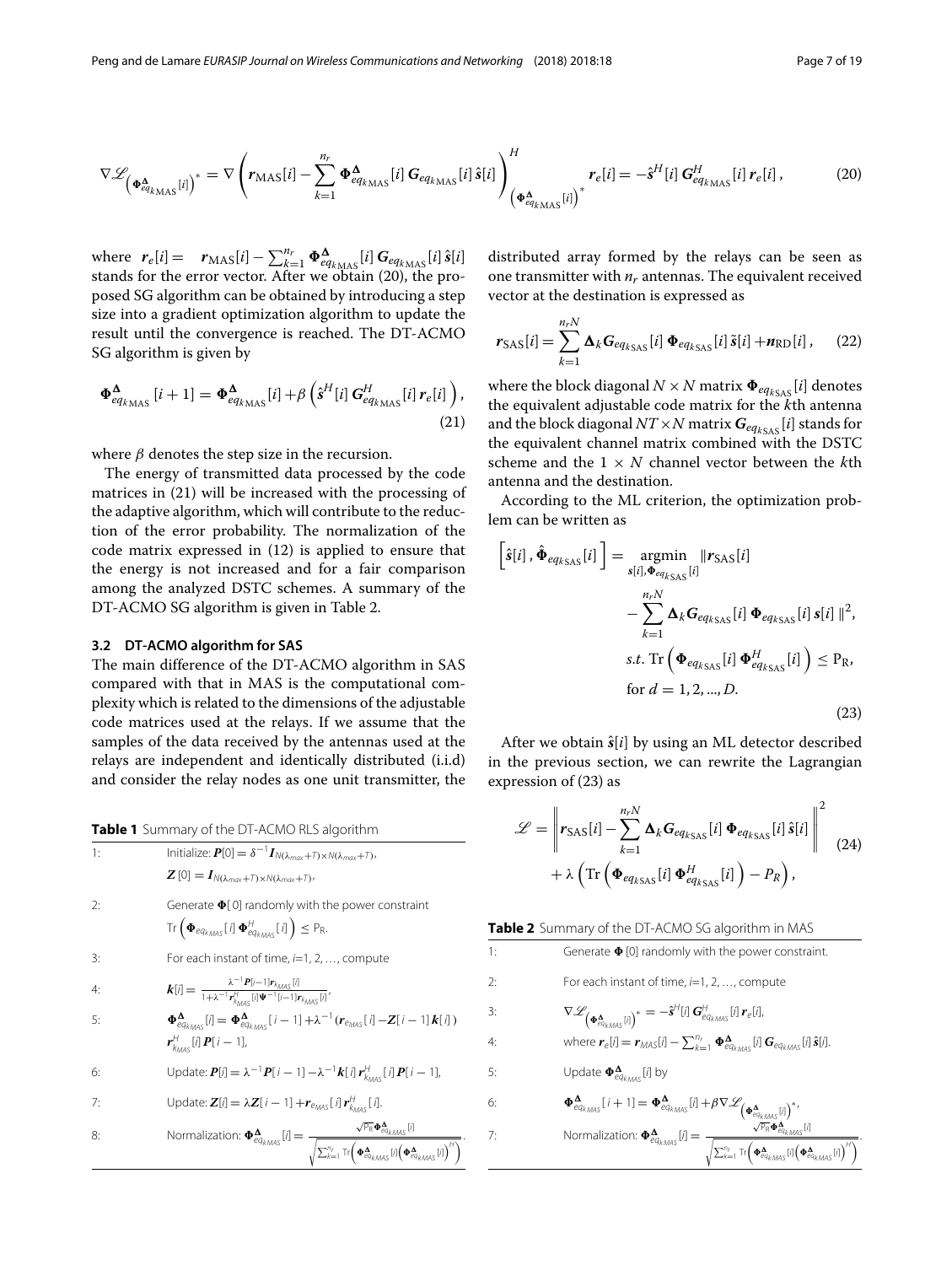<span id="page-6-1"></span>
$$
\nabla \mathcal{L}_{\left(\boldsymbol{\Phi}_{eq_{k_{\text{MAX}}}}^{A}[i]\right)^{*}} = \nabla \left(r_{\text{MAX}}[i] - \sum_{k=1}^{n_{r}} \boldsymbol{\Phi}_{eq_{k_{\text{MAX}}}}^{A}[i] \boldsymbol{G}_{eq_{k_{\text{MAX}}}}[i] \hat{\boldsymbol{s}}[i] \right)_{\left(\boldsymbol{\Phi}_{eq_{k_{\text{MAX}}}}^{A}[i]\right)^{*}}^{H} \boldsymbol{r}_{e}[i] = -\hat{\boldsymbol{s}}^{H}[i] \boldsymbol{G}_{eq_{k_{\text{MAX}}}}^{H}[i] \boldsymbol{r}_{e}[i], \tag{20}
$$

where  $r_e[i] = r_{\text{MAS}}[i] - \sum_{k=1}^{n_r} \Phi_{eq_{k_{\text{MAS}}}}^{\Delta}[i] G_{eq_{k_{\text{MAS}}}}[i] \hat{s}[i]$ stands for the error vector. After we obtain [\(20\)](#page-6-1), the proposed SG algorithm can be obtained by introducing a step size into a gradient optimization algorithm to update the result until the convergence is reached. The DT-ACMO SG algorithm is given by

<span id="page-6-2"></span>
$$
\Phi_{eq_{k_{\rm MAS}}}^{\Delta}[i+1] = \Phi_{eq_{k_{\rm MAS}}}^{\Delta}[i] + \beta \left(\hat{s}^{H}[i] G_{eq_{k_{\rm MAS}}}^{H}[i] \, r_e[i] \right),\tag{21}
$$

where  $\beta$  denotes the step size in the recursion.

The energy of transmitted data processed by the code matrices in [\(21\)](#page-6-2) will be increased with the processing of the adaptive algorithm, which will contribute to the reduction of the error probability. The normalization of the code matrix expressed in [\(12\)](#page-5-1) is applied to ensure that the energy is not increased and for a fair comparison among the analyzed DSTC schemes. A summary of the DT-ACMO SG algorithm is given in Table [2.](#page-6-3)

# **3.2 DT-ACMO algorithm for SAS**

The main difference of the DT-ACMO algorithm in SAS compared with that in MAS is the computational complexity which is related to the dimensions of the adjustable code matrices used at the relays. If we assume that the samples of the data received by the antennas used at the relays are independent and identically distributed (i.i.d) and consider the relay nodes as one unit transmitter, the

**Table 1** Summary of the DT-ACMO RLS algorithm

<span id="page-6-0"></span>

| <b>Table T</b> Summary of the DT-ACMO RES algorithm |                                                                                                                                                                                                                                                                                             |  |
|-----------------------------------------------------|---------------------------------------------------------------------------------------------------------------------------------------------------------------------------------------------------------------------------------------------------------------------------------------------|--|
| 1:                                                  | Initialize: $\boldsymbol{P}[0] = \delta^{-1} \boldsymbol{I}_{N(\lambda_{max}+T) \times N(\lambda_{max}+T)}$                                                                                                                                                                                 |  |
|                                                     | $\mathbf{Z}[0] = \mathbf{I}_{N(\lambda_{max}+\mathcal{I})\times N(\lambda_{max}+\mathcal{I})},$                                                                                                                                                                                             |  |
| 2:                                                  | Generate $\Phi[0]$ randomly with the power constraint                                                                                                                                                                                                                                       |  |
|                                                     | $\text{Tr}\left(\boldsymbol{\Phi}_{eq_{kMAS}}[i]\boldsymbol{\Phi}_{eq_{kMAS}}^{H}[i]\right)\leq P_{R}.$                                                                                                                                                                                     |  |
| 3:                                                  | For each instant of time, i=1, 2, , compute                                                                                                                                                                                                                                                 |  |
| 4:                                                  | $k[i] = \frac{\lambda^{-1} P[i-1] r_{k_{\text{MAS}}} [i]}{1 + \lambda^{-1} r_{k_{\text{RMS}}}^H [j] \Psi^{-1} [i-1] r_{k_{\text{RMS}}} [i]}$                                                                                                                                                |  |
| 5:                                                  | $\Phi_{eq_{kMAS}}^{\Delta}[i] = \Phi_{eq_{kMAS}}^{\Delta}[i-1] + \lambda^{-1}(r_{e_{MAS}}[i] - Z[i-1]K[i])$                                                                                                                                                                                 |  |
|                                                     | $r_{k_{\text{max}}}^{H}$ [i] $P[i-1]$ ,                                                                                                                                                                                                                                                     |  |
| 6:                                                  | Update: $P[i] = \lambda^{-1} P[i - 1] - \lambda^{-1} k[i] r_{k_{\text{max}}}^{H}[i] P[i - 1],$                                                                                                                                                                                              |  |
| 7:                                                  | Update: $\mathbf{Z}[i] = \lambda \mathbf{Z}[i-1] + \mathbf{r}_{\text{EMAS}}[i] \mathbf{r}_{k_{\text{MAS}}}^{H}[i].$                                                                                                                                                                         |  |
| 8:                                                  | $\text{Normalization: } \pmb{\Phi}^{\pmb{\Delta}}_{eq_{kMA5}}[l] = \frac{\sqrt{\mathbb{P}_{\text{R}}}\pmb{\Phi}^{\pmb{\Delta}}_{eq_{kMA5}}[l]}{\sqrt{\sum_{k=1}^{n_{f}}\text{Tr}\Big(\pmb{\Phi}^{\pmb{\Delta}}_{eq_{kMA5}}[l]\Big(\pmb{\Phi}^{\pmb{\Delta}}_{eq_{kMA5}}[l]\Big)^{H}\Big)}}$ |  |

distributed array formed by the relays can be seen as one transmitter with  $n_r$  antennas. The equivalent received vector at the destination is expressed as

<span id="page-6-6"></span>
$$
r_{\text{SAS}}[i] = \sum_{k=1}^{n_r N} \Delta_k G_{eq_{k\text{SAS}}}[i] \Phi_{eq_{k\text{SAS}}}[i] \tilde{s}[i] + n_{\text{RD}}[i], \quad (22)
$$

where the block diagonal  $N \times N$  matrix  $\Phi_{eq_{kSAS}}[i]$  denotes the equivalent adjustable code matrix for the *k*th antenna and the block diagonal  $NT \times N$  matrix  $\boldsymbol{G}_{eq_{kSAS}}[i]$  stands for the equivalent channel matrix combined with the DSTC scheme and the 1 × *N* channel vector between the *k*th antenna and the destination.

According to the ML criterion, the optimization problem can be written as

<span id="page-6-4"></span>
$$
\begin{aligned}\n\left[\hat{s}[i], \hat{\Phi}_{eq_{kSAS}}[i]\right] &= \operatorname*{argmin}_{s[i], \Phi_{eq_{kSAS}}[i]} |r_{SAS}[i]| \\
&\quad - \sum_{k=1}^{n_r N} \Delta_k G_{eq_{kSAS}}[i] \Phi_{eq_{kSAS}}[i] \, s[i] \, s[i] \, \|^{2}, \\
&\text{s.t. } \operatorname{Tr}\left(\Phi_{eq_{kSAS}}[i] \, \Phi_{eq_{kSAS}}^{H}[i]\right) \leq P_{R}, \\
&\text{for } d = 1, 2, ..., D.\n\end{aligned}
$$
\n(23)

After we obtain  $\hat{s}[i]$  by using an ML detector described in the previous section, we can rewrite the Lagrangian expression of [\(23\)](#page-6-4) as

<span id="page-6-5"></span>
$$
\mathcal{L} = \left\| \mathbf{r}_{\text{SAS}}[i] - \sum_{k=1}^{n_r N} \mathbf{\Delta}_k \mathbf{G}_{eq_{k\text{SAS}}} [i] \, \Phi_{eq_{k\text{SAS}}} [i] \, \hat{\mathbf{s}}[i] \right\|^2
$$
  
+  $\lambda \left( \text{Tr} \left( \Phi_{eq_{k\text{SAS}}} [i] \, \Phi_{eq_{k\text{SAS}}}^H [i] \right) - P_R \right),$  (24)

<span id="page-6-3"></span>

|  |  | Table 2 Summary of the DT-ACMO SG algorithm in MAS |  |  |
|--|--|----------------------------------------------------|--|--|
|--|--|----------------------------------------------------|--|--|

1: Generate  $\Phi$  [0] randomly with the power constraint. 2: For each instant of time,  $i=1, 2, \ldots$ , compute 3:  $\nabla \mathscr{L}_{\left(\boldsymbol{\Phi}_{e_{q_{k_{MAS}}}^{K}[i]}\right)^{*}} = -\hat{s}^{\text{H}}[i] \boldsymbol{G}_{e_{q_{k_{MAS}}}^{H}[i] \boldsymbol{r}_{e}[i],$ 4: where  $\boldsymbol{r}_e[i] = \boldsymbol{r}_{\text{MAS}}[i] - \sum_{k=1}^{n_r} \boldsymbol{\Phi}_{eq_{kMAS}}^{\boldsymbol{\Delta}}[i] \boldsymbol{G}_{eq_{kMAS}}[i] \hat{\boldsymbol{s}}[i].$ 5: Update  $\mathbf{\Phi}_{eq_{k_{\text{MAX}}}}^{\mathbf{\Delta}}$  [*i*] by 6:  $\Phi^{\mathbf{A}}_{eq_{kMAS}}[i+1] = \Phi^{\mathbf{A}}_{eq_{kMAS}}[i] + \beta \nabla \mathcal{L}_{(\Phi^{\mathbf{A}}_{eq_{kMAS}}[i])^{*}}$ 7: Normalization:  $\Phi_{eq_{kMAS}}^{\Delta}[l] = \frac{\sqrt{P_R} \Phi_{eq_{kMAS}}^{\Delta}[l]}{\sqrt{\sum_{k=1}^{n_r} \text{Tr} \left(\Phi_{eq_{kMAS}}^{\Delta}[l] \left(\Phi_{eq_{kMAS}}^{\Delta}[l]\right)^H\right)}}$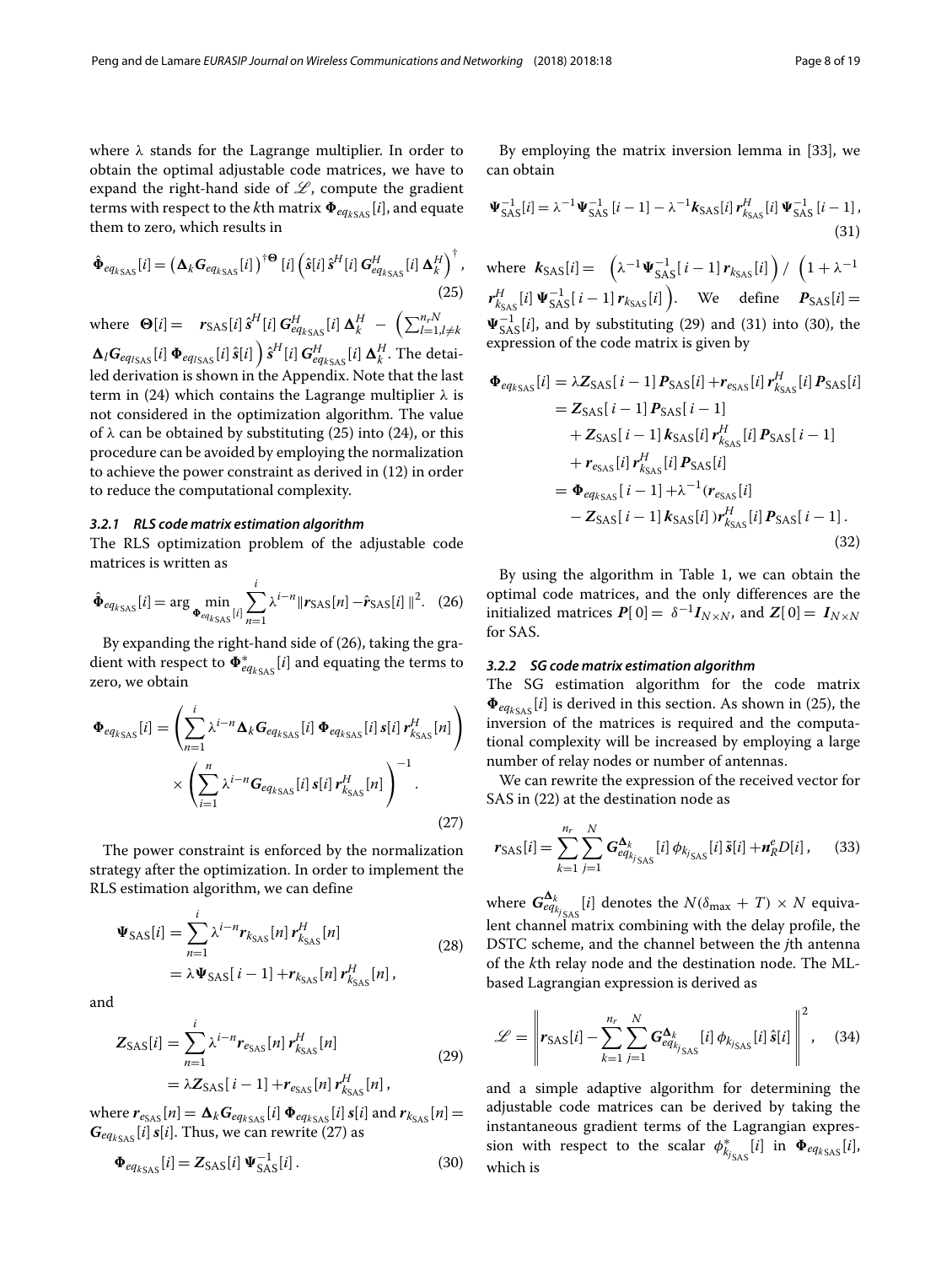where  $\lambda$  stands for the Lagrange multiplier. In order to obtain the optimal adjustable code matrices, we have to expand the right-hand side of  $\mathscr{L}$ , compute the gradient terms with respect to the *k*th matrix  $\Phi_{eq_k}$ <sub>SAS</sub> [*i*], and equate them to zero, which results in

<span id="page-7-0"></span>
$$
\hat{\Phi}_{eq_{kSAS}}[i] = \left(\Delta_k \mathbf{G}_{eq_{kSAS}}[i]\right)^{\dagger \mathbf{\Theta}} [i] \left(\hat{\mathbf{s}}[i] \,\hat{\mathbf{s}}^H[i] \, \mathbf{G}_{eq_{kSAS}}^H[i] \, \Delta_k^H \right)^{\dagger},\tag{25}
$$

where  $\Theta[i] = r_{SAS}[i] \hat{s}^H[i] G_{eq_{kSAS}}^H[i] \Delta_k^H - (\sum_{l=1, l \neq k}^{n_r N}$  $\Delta_l G_{eq_{ISAS}}[i] \, \Phi_{eq_{ISAS}}[i] \, \hat{s}[i] \, \Big) \hat{s}^H[i] \, G_{eq_{ISAS}}^H[i] \, \Delta_k^H.$  The detailed derivation is shown in the [Appendix.](#page-16-1) Note that the last term in [\(24\)](#page-6-5) which contains the Lagrange multiplier  $\lambda$  is not considered in the optimization algorithm. The value of  $\lambda$  can be obtained by substituting [\(25\)](#page-7-0) into [\(24\)](#page-6-5), or this procedure can be avoided by employing the normalization to achieve the power constraint as derived in [\(12\)](#page-5-1) in order to reduce the computational complexity.

# *3.2.1 RLS code matrix estimation algorithm*

The RLS optimization problem of the adjustable code matrices is written as

<span id="page-7-1"></span>
$$
\hat{\Phi}_{eq_{kSAS}}[i] = \arg \min_{\Phi_{eq_{kSAS}}[i]} \sum_{n=1}^{i} \lambda^{i-n} \|r_{SAS}[n] - \hat{r}_{SAS}[i]\|^2. \tag{26}
$$

By expanding the right-hand side of [\(26\)](#page-7-1), taking the gradient with respect to  $\pmb{\Phi}^*_{eq_{k_{\text{SAS}}}}[i]$  and equating the terms to zero, we obtain

<span id="page-7-2"></span>
$$
\Phi_{eq_{kSAS}}[i] = \left(\sum_{n=1}^{i} \lambda^{i-n} \Delta_k G_{eq_{kSAS}}[i] \Phi_{eq_{kSAS}}[i] s[i] r_{k_{SAS}}^H[n]\right) \times \left(\sum_{i=1}^{n} \lambda^{i-n} G_{eq_{kSAS}}[i] s[i] r_{k_{SAS}}^H[n]\right)^{-1}.
$$
\n(27)

The power constraint is enforced by the normalization strategy after the optimization. In order to implement the RLS estimation algorithm, we can define

$$
\Psi_{\text{SAS}}[i] = \sum_{n=1}^{i} \lambda^{i-n} r_{k_{\text{SAS}}}[n] r_{k_{\text{SAS}}}^{H}[n]
$$
\n
$$
= \lambda \Psi_{\text{SAS}}[i-1] + r_{k_{\text{SAS}}}[n] r_{k_{\text{SAS}}}^{H}[n],
$$
\n(28)

and

<span id="page-7-3"></span>
$$
Z_{\text{SAS}}[i] = \sum_{n=1}^{i} \lambda^{i-n} r_{e_{\text{SAS}}}[n] r_{k_{\text{SAS}}}^{H}[n]
$$
  
=  $\lambda Z_{\text{SAS}}[i-1] + r_{e_{\text{SAS}}}[n] r_{k_{\text{SAS}}}^{H}[n],$  (29)

where  $r_{e_{\text{SAS}}}[n] = \mathbf{\Delta}_k \mathbf{G}_{eq_{k_{\text{SAS}}}}[i] \mathbf{\Phi}_{eq_{k_{\text{SAS}}}}[i] \, \mathbf{s}[i]$  and  $r_{k_{\text{SAS}}}[n]$  $G_{eq_{ksas}}[i]$  *s*[*i*]. Thus, we can rewrite [\(27\)](#page-7-2) as

$$
\Phi_{eq_{kSAS}}[i] = Z_{SAS}[i] \Psi_{SAS}^{-1}[i]. \tag{30}
$$

<span id="page-7-4"></span>By employing the matrix inversion lemma in [\[33\]](#page-18-8), we can obtain

$$
\Psi_{\text{SAS}}^{-1}[i] = \lambda^{-1} \Psi_{\text{SAS}}^{-1} [i-1] - \lambda^{-1} k_{\text{SAS}}[i] r_{k_{\text{SAS}}}^{H}[i] \Psi_{\text{SAS}}^{-1} [i-1],
$$
\n(31)

where  $k_{\text{SAS}}[i] = \left( \lambda^{-1} \Psi_{\text{SAS}}^{-1}[i-1] \, r_{k_{\text{SAS}}}[i] \right) / \left( 1 + \lambda^{-1} \right)$  $r_{k_{\text{SAS}}}^{H}[i] \Psi_{\text{SAS}}^{-1}[i-1] r_{k_{\text{SAS}}}[i]$  ). We define  $P_{\text{SAS}}[i] =$  $\Psi_{\text{SAS}}^{-1}[i]$ , and by substituting [\(29\)](#page-7-3) and [\(31\)](#page-7-4) into [\(30\)](#page-7-5), the expression of the code matrix is given by

$$
\Phi_{eq_{kSAS}}[i] = \lambda Z_{SAS}[i-1] P_{SAS}[i] + r_{e_{SAS}}[i] r_{k_{SAS}}^{H}[i] P_{SAS}[i]
$$
\n
$$
= Z_{SAS}[i-1] P_{SAS}[i-1]
$$
\n
$$
+ Z_{SAS}[i-1] K_{SAS}[i] r_{k_{SAS}}^{H}[i] P_{SAS}[i-1]
$$
\n
$$
+ r_{e_{SAS}}[i] r_{k_{SAS}}^{H}[i] P_{SAS}[i]
$$
\n
$$
= \Phi_{eq_{kSAS}}[i-1] + \lambda^{-1} (r_{e_{SAS}}[i]
$$
\n
$$
- Z_{SAS}[i-1] K_{SAS}[i]) r_{k_{SAS}}^{H}[i] P_{SAS}[i-1].
$$
\n(32)

By using the algorithm in Table [1,](#page-6-0) we can obtain the optimal code matrices, and the only differences are the initialized matrices  $P[0] = \delta^{-1}I_{N \times N}$ , and  $Z[0] = I_{N \times N}$ for SAS.

#### *3.2.2 SG code matrix estimation algorithm*

The SG estimation algorithm for the code matrix  $\Phi_{eq_{ksas}}[i]$  is derived in this section. As shown in [\(25\)](#page-7-0), the inversion of the matrices is required and the computational complexity will be increased by employing a large number of relay nodes or number of antennas.

We can rewrite the expression of the received vector for SAS in [\(22\)](#page-6-6) at the destination node as

$$
r_{\rm SAS}[i] = \sum_{k=1}^{n_r} \sum_{j=1}^{N} G_{eq_{k_{\rm j_{SAS}}}}^{\Delta_k} [i] \phi_{k_{\rm j_{SAS}}}[i] \tilde{s}[i] + n_R^e D[i], \quad (33)
$$

where  $G^{\mathbf{\Delta}_k}_{eq_{k_{j_{\text{SAS}}}}}[i]$  denotes the  $N(\delta_{\max} + T) \times N$  equivalent channel matrix combining with the delay profile, the DSTC scheme, and the channel between the *j*th antenna of the *k*th relay node and the destination node. The MLbased Lagrangian expression is derived as

$$
\mathcal{L} = \left\| \mathbf{r}_{\text{SAS}}[i] - \sum_{k=1}^{n_r} \sum_{j=1}^{N} \mathbf{G}_{eq_{k_{j}}_{\text{SAS}}}^{\Delta_k}[i] \phi_{k_{j_{\text{SAS}}}}[i] \hat{\mathbf{s}}[i] \right\|^2, \quad (34)
$$

<span id="page-7-5"></span>and a simple adaptive algorithm for determining the adjustable code matrices can be derived by taking the instantaneous gradient terms of the Lagrangian expression with respect to the scalar  $\phi_{k_{j_{\rm SAS}}}(i)$  in  $\Phi_{eq_{k_{\rm SAS}}}(i)$ , which is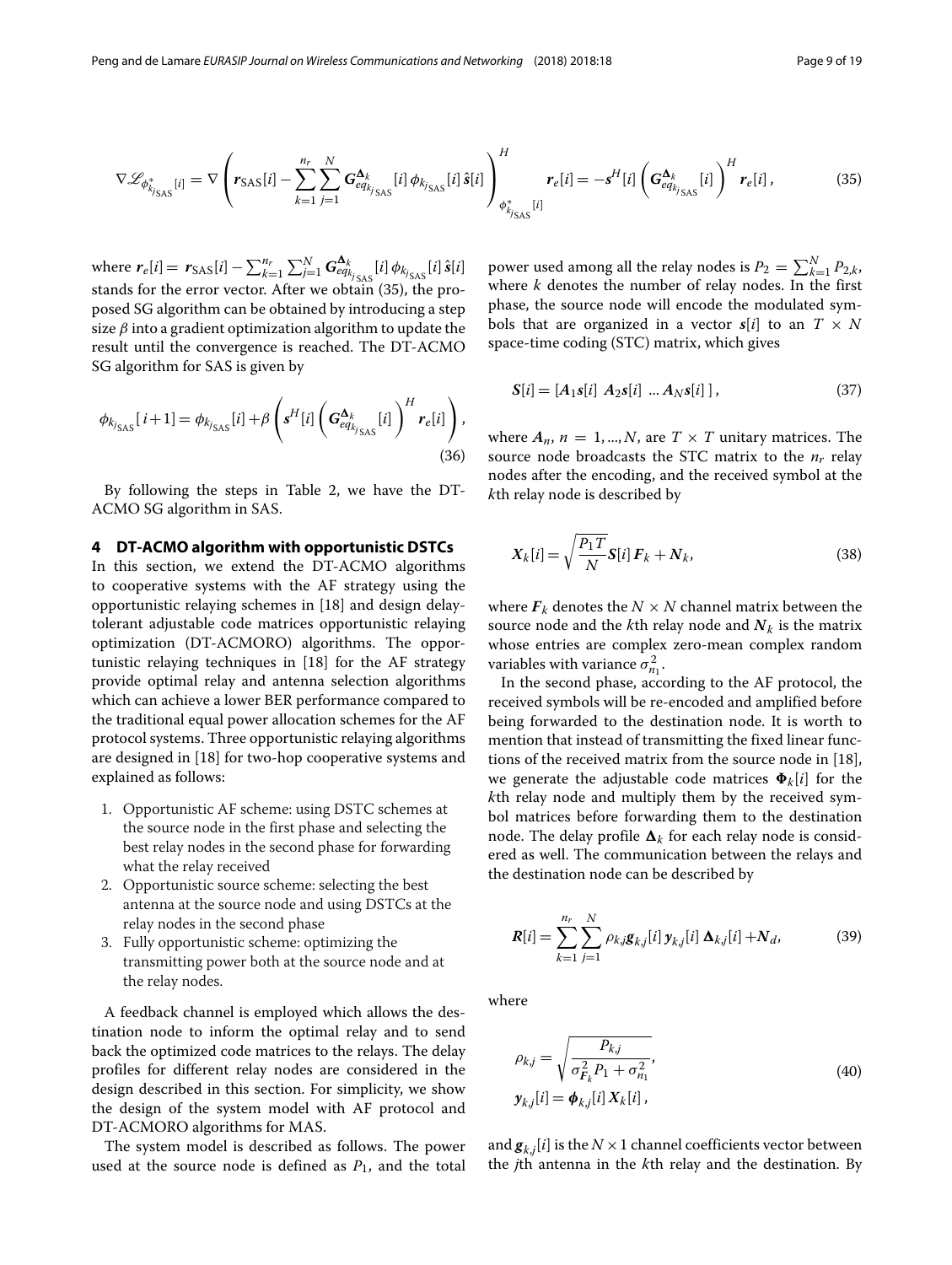<span id="page-8-1"></span>
$$
\nabla \mathcal{L}_{\phi_{k_{j_{SAS}}}}^{*}[i] = \nabla \left( r_{SAS}[i] - \sum_{k=1}^{n_r} \sum_{j=1}^{N} G_{eq_{k_{j_{SAS}}}}^{\Delta_k}[i] \phi_{k_{j_{SAS}}}[i] \hat{s}[i] \right)_{\phi_{k_{j_{SAS}}}}^{H}[i] = -s^H[i] \left( G_{eq_{k_{j_{SAS}}}}^{\Delta_k}[i] \right)^H r_e[i], \tag{35}
$$

where  $r_e[i] = r_{SAS}[i] - \sum_{k=1}^{n_r} \sum_{j=1}^{N} G_{eq_{k_{j}}SAS}^{\Delta_k}[i] \phi_{k_{j}}S[i] \hat{s}[i]$ stands for the error vector. After we obtain [\(35\)](#page-8-1), the proposed SG algorithm can be obtained by introducing a step size  $\beta$  into a gradient optimization algorithm to update the result until the convergence is reached. The DT-ACMO SG algorithm for SAS is given by

$$
\phi_{k_{j_{SAS}}}[i+1] = \phi_{k_{j_{SAS}}}[i] + \beta \left(s^H[i] \left(\mathbf{G}^{\mathbf{\Delta}_k}_{eq_{k_{j_{SAS}}}}[i]\right)^H r_e[i]\right),\tag{36}
$$

By following the steps in Table [2,](#page-6-3) we have the DT-ACMO SG algorithm in SAS.

# <span id="page-8-0"></span>**4 DT-ACMO algorithm with opportunistic DSTCs**

In this section, we extend the DT-ACMO algorithms to cooperative systems with the AF strategy using the opportunistic relaying schemes in [\[18\]](#page-17-18) and design delaytolerant adjustable code matrices opportunistic relaying optimization (DT-ACMORO) algorithms. The opportunistic relaying techniques in [\[18\]](#page-17-18) for the AF strategy provide optimal relay and antenna selection algorithms which can achieve a lower BER performance compared to the traditional equal power allocation schemes for the AF protocol systems. Three opportunistic relaying algorithms are designed in [\[18\]](#page-17-18) for two-hop cooperative systems and explained as follows:

- 1. Opportunistic AF scheme: using DSTC schemes at the source node in the first phase and selecting the best relay nodes in the second phase for forwarding what the relay received
- 2. Opportunistic source scheme: selecting the best antenna at the source node and using DSTCs at the relay nodes in the second phase
- 3. Fully opportunistic scheme: optimizing the transmitting power both at the source node and at the relay nodes.

A feedback channel is employed which allows the destination node to inform the optimal relay and to send back the optimized code matrices to the relays. The delay profiles for different relay nodes are considered in the design described in this section. For simplicity, we show the design of the system model with AF protocol and DT-ACMORO algorithms for MAS.

The system model is described as follows. The power used at the source node is defined as  $P_1$ , and the total

power used among all the relay nodes is  $P_2 = \sum_{k=1}^{N} P_{2,k}$ , where *k* denotes the number of relay nodes. In the first phase, the source node will encode the modulated symbols that are organized in a vector  $s[i]$  to an  $T \times N$ space-time coding (STC) matrix, which gives

$$
S[i] = [A_1 s[i] \ A_2 s[i] \ ... \ A_N s[i]], \qquad (37)
$$

where  $A_n$ ,  $n = 1, ..., N$ , are  $T \times T$  unitary matrices. The source node broadcasts the STC matrix to the  $n_r$  relay nodes after the encoding, and the received symbol at the *k*th relay node is described by

<span id="page-8-2"></span>
$$
X_k[i] = \sqrt{\frac{P_1 T}{N}} S[i] \, \boldsymbol{F}_k + \boldsymbol{N}_k,\tag{38}
$$

where  $\mathbf{F}_k$  denotes the  $N \times N$  channel matrix between the source node and the *k*th relay node and  $N_k$  is the matrix whose entries are complex zero-mean complex random variables with variance  $\sigma_{n_1}^2$ .

In the second phase, according to the AF protocol, the received symbols will be re-encoded and amplified before being forwarded to the destination node. It is worth to mention that instead of transmitting the fixed linear functions of the received matrix from the source node in [\[18\]](#page-17-18), we generate the adjustable code matrices  $\Phi_k[i]$  for the *k*th relay node and multiply them by the received symbol matrices before forwarding them to the destination node. The delay profile  $\bm{\Delta}_{k}$  for each relay node is considered as well. The communication between the relays and the destination node can be described by

<span id="page-8-4"></span>
$$
R[i] = \sum_{k=1}^{n_r} \sum_{j=1}^{N} \rho_{k,j} g_{k,j}[i] \, \mathbf{y}_{k,j}[i] \, \Delta_{k,j}[i] + N_d,
$$
 (39)

<span id="page-8-3"></span>where

$$
\rho_{k,j} = \sqrt{\frac{P_{k,j}}{\sigma_{F_k}^2 P_1 + \sigma_{n_1}^2}},
$$
\n
$$
\mathbf{y}_{k,j}[i] = \boldsymbol{\phi}_{k,j}[i] \mathbf{X}_k[i],
$$
\n(40)

and  $\boldsymbol{g}_{k,j}[i]$  is the  $N \times 1$  channel coefficients vector between the *j*th antenna in the *k*th relay and the destination. By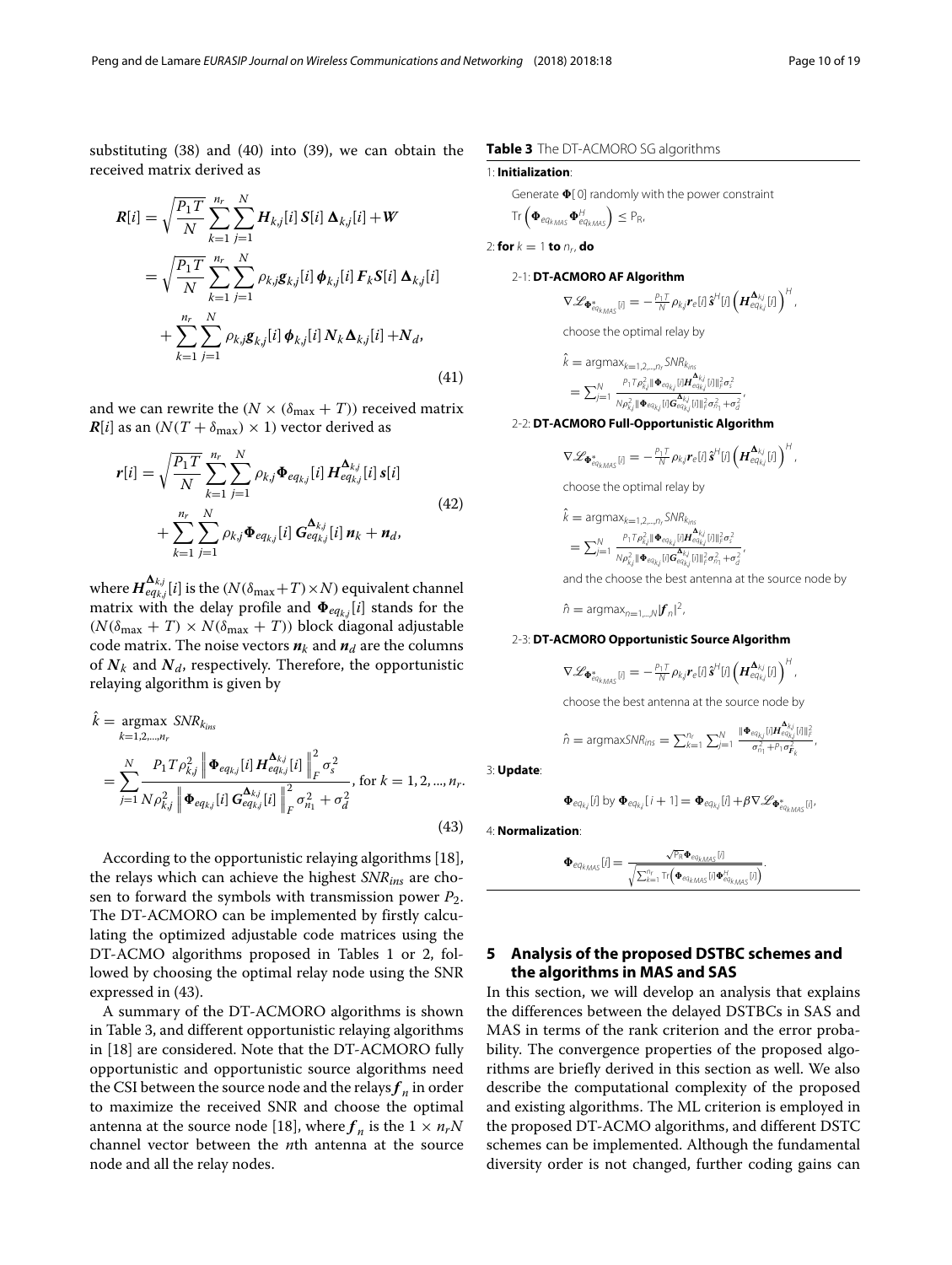$$
R[i] = \sqrt{\frac{P_1 T}{N}} \sum_{k=1}^{n_r} \sum_{j=1}^{N} H_{kj}[i] S[i] \Delta_{kj}[i] + W
$$
  
\n
$$
= \sqrt{\frac{P_1 T}{N}} \sum_{k=1}^{n_r} \sum_{j=1}^{N} \rho_{kj} g_{kj}[i] \phi_{kj}[i] F_k S[i] \Delta_{kj}[i]
$$
  
\n
$$
+ \sum_{k=1}^{n_r} \sum_{j=1}^{N} \rho_{kj} g_{kj}[i] \phi_{kj}[i] N_k \Delta_{kj}[i] + N_d,
$$
\n(41)

and we can rewrite the  $(N \times (\delta_{\text{max}} + T))$  received matrix  $R[i]$  as an  $(N(T + \delta_{\text{max}}) \times 1)$  vector derived as

$$
r[i] = \sqrt{\frac{P_1 T}{N}} \sum_{k=1}^{n_r} \sum_{j=1}^{N} \rho_{k,j} \Phi_{eq_{k,j}}[i] H_{eq_{k,j}}^{\Delta_{k,j}}[i] s[i] + \sum_{k=1}^{n_r} \sum_{j=1}^{N} \rho_{k,j} \Phi_{eq_{k,j}}[i] G_{eq_{k,j}}^{\Delta_{k,j}}[i] n_k + n_d,
$$
\n(42)

where  $\bm{H}^{\bm{\Delta}_{kj}}_{eq_{kj}}[i]$  is the  $(N(\delta_{\max} \!+\! T)\!\times\! N)$  equivalent channel matrix with the delay profile and  $\mathbf{\Phi}_{eq_{k,j}}[i]$  stands for the  $(N(\delta_{\text{max}} + T) \times N(\delta_{\text{max}} + T))$  block diagonal adjustable code matrix. The noise vectors  $n_k$  and  $n_d$  are the columns of  $N_k$  and  $N_d$ , respectively. Therefore, the opportunistic relaying algorithm is given by

<span id="page-9-1"></span>
$$
\hat{k} = \underset{k=1,2,...,n_r}{\text{argmax}} \text{SNR}_{k_{ins}} \n= \sum_{j=1}^{N} \frac{P_1 T \rho_{kj}^2 \left\| \boldsymbol{\Phi}_{eq_{kj}}[i] \boldsymbol{H}_{eq_{kj}}^{\boldsymbol{\Delta}_{kj}}[i] \right\|_F^2 \sigma_s^2}{N \rho_{kj}^2 \left\| \boldsymbol{\Phi}_{eq_{kj}}[i] \boldsymbol{G}_{eq_{kj}}^{\boldsymbol{\Delta}_{kj}}[i] \right\|_F^2 \sigma_{n_1}^2 + \sigma_d^2}, \text{ for } k = 1,2,...,n_r.
$$
\n(43)

According to the opportunistic relaying algorithms [\[18\]](#page-17-18), the relays which can achieve the highest *SNRins* are chosen to forward the symbols with transmission power *P*2. The DT-ACMORO can be implemented by firstly calculating the optimized adjustable code matrices using the DT-ACMO algorithms proposed in Tables [1](#page-6-0) or [2,](#page-6-3) followed by choosing the optimal relay node using the SNR expressed in [\(43\)](#page-9-1).

A summary of the DT-ACMORO algorithms is shown in Table [3,](#page-9-2) and different opportunistic relaying algorithms in [\[18\]](#page-17-18) are considered. Note that the DT-ACMORO fully opportunistic and opportunistic source algorithms need the CSI between the source node and the relays $f_n$  in order to maximize the received SNR and choose the optimal antenna at the source node [\[18\]](#page-17-18), where  $f_n$  is the  $1 \times n_rN$ channel vector between the *n*th antenna at the source node and all the relay nodes.

# 1: **Initialization**:

 $\sqrt{ }$ 

<span id="page-9-2"></span>Generate  $\Phi$ [0] randomly with the power constraint

$$
\text{Tr}\left(\boldsymbol{\Phi}_{eq_{kMAS}}\boldsymbol{\Phi}_{eq_{kMAS}}^{H}\right)\leq P_{R},
$$

2: **for**  $k = 1$  **to**  $n_r$ , **do** 

# 2-1: **DT-ACMORO AF Algorithm**

$$
\nabla \mathscr{L}_{\Phi_{eq_{kMS}}^*[i]} = -\frac{\rho_1 \tau}{N} \rho_{kj} r_e[i] \hat{\boldsymbol{s}}^H[i] \left(\boldsymbol{H}_{eq_{kj}}^{\boldsymbol{\Delta}_{kj}}[i]\right)^H,
$$

choose the optimal relay by

$$
k = \text{argmax}_{k=1,2,...,n_r} SNR_{k_{ins}} \\
= \sum_{j=1}^{N} \frac{P_1 T \rho_{kj}^2 ||\Phi_{eq_{kj}} [I] H_{eq_{kj}}^{\Delta_{kj}} [I] ||_F^2 \sigma_s^2}{N \rho_{kj}^2 ||\Phi_{eq_{kj}} [I] G_{eq_{kj}}^{\Delta_{kj}} [I] ||_F^2 \sigma_{ri}^2 + \sigma_d^2}
$$

2-2: **DT-ACMORO Full-Opportunistic Algorithm**

$$
\nabla \mathscr{L}_{\Phi_{eq_{k_{MAS}}^{*}[i]}} = -\frac{P_1 T}{N} \rho_{kj} r_e[i] \hat{\boldsymbol{s}}^H[i] \left(\boldsymbol{H}_{eq_{kj}}^{\boldsymbol{\Delta}_{kj}}[i]\right)^H,
$$

,

choose the optimal relay by

$$
k = \text{argmax}_{k=1,2,\dots,n_f} SNR_{k_{ins}} \\
= \sum_{j=1}^{N} \frac{P_1 T \rho_{k,j}^2 \|\Phi_{eq_{kj}}j\| H_{eq_{kj}}^{\mathbf{A}_{kj}}j\|_{F}^2 \sigma_{s}^2}{N \rho_{k,j}^2 \|\Phi_{eq_{kj}}j\|_{F}^2 \sigma_{eq_{kj}}^2} \frac{1}{\|\mathbf{A}_{F}^2 \sigma_{eq_{kj}}^2} \frac{1}{\|\mathbf{A}_{F}^2 \sigma_{eq_{kj}}^2}.
$$

and the choose the best antenna at the source node by

 $\hat{n} = \text{argmax}_{n=1,\dots,N} |\mathbf{f}_n|^2$ ,

# 2-3: **DT-ACMORO Opportunistic Source Algorithm**

$$
\nabla \mathscr{L}_{\boldsymbol{\Phi}^*_{eq_{kMAS}}[i]} = -\frac{P_1 T}{N} \rho_{kj} \boldsymbol{r}_e[i] \hat{\boldsymbol{s}}^H[i] \left(\boldsymbol{H}_{eq_{kj}}^{\boldsymbol{\Delta}_{kj}}[i]\right)^H,
$$

choose the best antenna at the source node by

$$
\hat{n} = \text{argmaxSNR}_{ins} = \sum_{k=1}^{n_r} \sum_{j=1}^{N} \frac{\|\mathbf{\Phi}_{eq_{kj}}[i] \mathbf{H}_{eq_{kj}}^{k_{kj}}[i]\|_{F}^{2}}{\sigma_{n_1}^{2} + p_1 \sigma_{F_k}^{2}}
$$

,

3: **Update**:

$$
\mathbf{\Phi}_{eq_{kj}}[i] \text{ by } \mathbf{\Phi}_{eq_{kj}}[i+1] = \mathbf{\Phi}_{eq_{kj}}[i] + \beta \nabla \mathcal{L}_{\mathbf{\Phi}_{eq_{k,MS}}^{*}[i]}.
$$

4: **Normalization**:

$$
\pmb{\Phi}_{\textit{eq}_{kMAS}}[J] = \frac{\sqrt{P_R} \pmb{\Phi}_{\textit{eq}_{kMAS}}[J]}{\sqrt{\sum_{k=1}^{n_f} \text{Tr} \left(\pmb{\Phi}_{\textit{eq}_{kMAS}}[J] \pmb{\Phi}_{\textit{eq}_{kMAS}}^{H}[J]}\right)}}.
$$

# <span id="page-9-0"></span>**5 Analysis of the proposed DSTBC schemes and the algorithms in MAS and SAS**

In this section, we will develop an analysis that explains the differences between the delayed DSTBCs in SAS and MAS in terms of the rank criterion and the error probability. The convergence properties of the proposed algorithms are briefly derived in this section as well. We also describe the computational complexity of the proposed and existing algorithms. The ML criterion is employed in the proposed DT-ACMO algorithms, and different DSTC schemes can be implemented. Although the fundamental diversity order is not changed, further coding gains can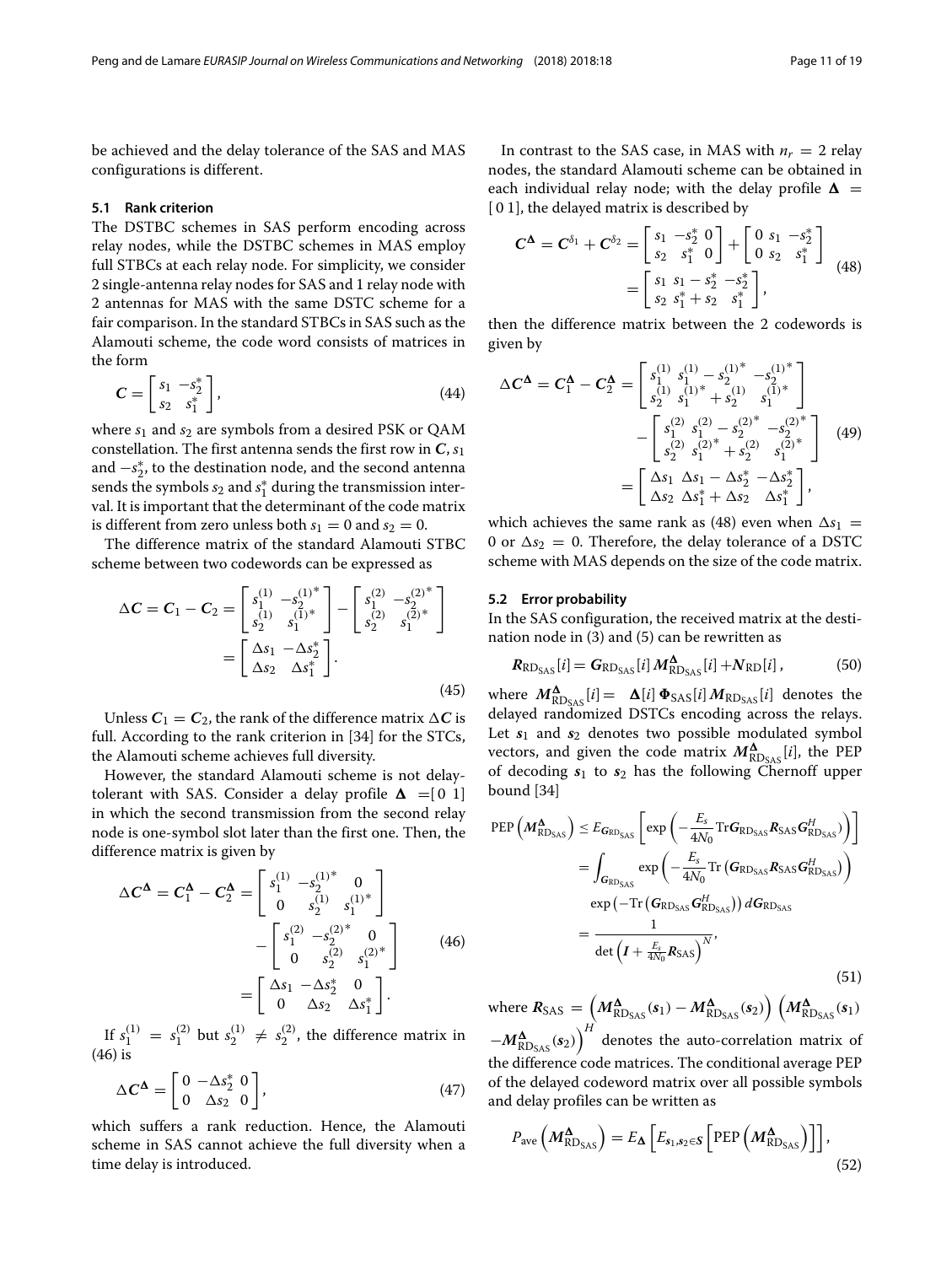be achieved and the delay tolerance of the SAS and MAS configurations is different.

#### **5.1 Rank criterion**

The DSTBC schemes in SAS perform encoding across relay nodes, while the DSTBC schemes in MAS employ full STBCs at each relay node. For simplicity, we consider 2 single-antenna relay nodes for SAS and 1 relay node with 2 antennas for MAS with the same DSTC scheme for a fair comparison. In the standard STBCs in SAS such as the Alamouti scheme, the code word consists of matrices in the form

$$
C = \begin{bmatrix} s_1 & -s_2^* \\ s_2 & s_1^* \end{bmatrix},
$$
 (44)

where  $s_1$  and  $s_2$  are symbols from a desired PSK or OAM constellation. The first antenna sends the first row in  $C$ ,  $s_1$ and −*s* ∗ <sup>2</sup>, to the destination node, and the second antenna sends the symbols  $s_2$  and  $s_1^*$  during the transmission interval. It is important that the determinant of the code matrix is different from zero unless both  $s_1 = 0$  and  $s_2 = 0$ .

The difference matrix of the standard Alamouti STBC scheme between two codewords can be expressed as

$$
\Delta C = C_1 - C_2 = \begin{bmatrix} s_1^{(1)} & -s_2^{(1)*} \\ s_2^{(1)} & s_1^{(1)*} \end{bmatrix} - \begin{bmatrix} s_1^{(2)} & -s_2^{(2)*} \\ s_2^{(2)} & s_1^{(2)*} \end{bmatrix}
$$

$$
= \begin{bmatrix} \Delta s_1 & -\Delta s_2^* \\ \Delta s_2 & \Delta s_1^* \end{bmatrix}.
$$
(45)

Unless  $C_1 = C_2$ , the rank of the difference matrix  $\Delta C$  is full. According to the rank criterion in [\[34\]](#page-18-9) for the STCs, the Alamouti scheme achieves full diversity.

However, the standard Alamouti scheme is not delaytolerant with SAS. Consider a delay profile  $\Delta = [0 \ 1]$ in which the second transmission from the second relay node is one-symbol slot later than the first one. Then, the difference matrix is given by

<span id="page-10-0"></span>
$$
\Delta C^{\Delta} = C_1^{\Delta} - C_2^{\Delta} = \begin{bmatrix} s_1^{(1)} & -s_2^{(1)*} & 0 \\ 0 & s_2^{(1)} & s_1^{(1)*} \end{bmatrix} - \begin{bmatrix} s_1^{(2)} & -s_2^{(2)*} & 0 \\ 0 & s_2^{(2)} & s_1^{(2)*} \end{bmatrix}
$$
(46)  
= 
$$
\begin{bmatrix} \Delta s_1 & -\Delta s_2^* & 0 \\ 0 & \Delta s_2 & \Delta s_1^* \end{bmatrix}.
$$

If  $s_1^{(1)} = s_1^{(2)}$  but  $s_2^{(1)} \neq s_2^{(2)}$ , the difference matrix in [\(46\)](#page-10-0) is

<span id="page-10-3"></span>
$$
\Delta C^{\Delta} = \begin{bmatrix} 0 & -\Delta s_2^* & 0 \\ 0 & \Delta s_2 & 0 \end{bmatrix},\tag{47}
$$

which suffers a rank reduction. Hence, the Alamouti scheme in SAS cannot achieve the full diversity when a time delay is introduced.

In contrast to the SAS case, in MAS with  $n_r = 2$  relay nodes, the standard Alamouti scheme can be obtained in each individual relay node; with the delay profile  $\boldsymbol{\Delta}$  = [0 1], the delayed matrix is described by

<span id="page-10-1"></span>
$$
C^{\Delta} = C^{\delta_1} + C^{\delta_2} = \begin{bmatrix} s_1 & -s_2^* & 0 \\ s_2 & s_1^* & 0 \end{bmatrix} + \begin{bmatrix} 0 & s_1 & -s_2^* \\ 0 & s_2 & s_1^* \end{bmatrix}
$$
  
= 
$$
\begin{bmatrix} s_1 & s_1 - s_2^* & -s_2^* \\ s_2 & s_1^* + s_2 & s_1^* \end{bmatrix},
$$
 (48)

then the difference matrix between the 2 codewords is given by

<span id="page-10-4"></span>
$$
\Delta C^{\Delta} = C_1^{\Delta} - C_2^{\Delta} = \begin{bmatrix} s_1^{(1)} & s_1^{(1)} - s_2^{(1)^*} - s_2^{(1)^*} \\ s_2^{(1)} & s_1^{(1)^*} + s_2^{(1)} & s_1^{(1)^*} \end{bmatrix} - \begin{bmatrix} s_1^{(2)} & s_1^{(2)} - s_2^{(2)^*} - s_2^{(2)^*} \\ s_2^{(2)} & s_1^{(2)^*} + s_2^{(2)} & s_1^{(2)^*} \end{bmatrix} \tag{49}
$$

$$
= \begin{bmatrix} \Delta s_1 & \Delta s_1 - \Delta s_2^* - \Delta s_2^* \\ \Delta s_2 & \Delta s_1^* + \Delta s_2 & \Delta s_1^* \end{bmatrix},
$$

which achieves the same rank as [\(48\)](#page-10-1) even when  $\Delta s_1$  = 0 or  $\Delta s_2 = 0$ . Therefore, the delay tolerance of a DSTC scheme with MAS depends on the size of the code matrix.

# **5.2 Error probability**

In the SAS configuration, the received matrix at the destination node in [\(3\)](#page-3-1) and [\(5\)](#page-3-4) can be rewritten as

<span id="page-10-5"></span>
$$
R_{\text{RD}_{\text{SAS}}}[i] = G_{\text{RD}_{\text{SAS}}}[i] M_{\text{RD}_{\text{SAS}}}^{\Delta}[i] + N_{\text{RD}}[i], \tag{50}
$$

where  $M_{\text{RD}_{\text{SAS}}}^{\Delta}[i] = \Delta[i] \Phi_{\text{SAS}}[i] M_{\text{RD}_{\text{SAS}}}[i]$  denotes the delayed randomized DSTCs encoding across the relays. Let  $s_1$  and  $s_2$  denotes two possible modulated symbol vectors, and given the code matrix  $M_{R\text{D}_{\text{SAS}}}^{\Delta}[i]$ , the PEP of decoding *s*<sup>1</sup> to *s*<sup>2</sup> has the following Chernoff upper bound [\[34\]](#page-18-9)

<span id="page-10-2"></span>
$$
\begin{split} \text{PEP}\left(\boldsymbol{M}_{\text{RD}_{\text{SAS}}}^{\boldsymbol{\Delta}}\right) &\leq E_{\boldsymbol{G}_{\text{RD}_{\text{SAS}}}}\left[\exp\left(-\frac{E_{s}}{4N_{0}}\text{Tr}\boldsymbol{G}_{\text{RD}_{\text{SAS}}}^{\boldsymbol{R}}\boldsymbol{R}_{\text{SAS}}^{\boldsymbol{G}_{\text{RD}_{\text{SAS}}}})\right)\right] \\ &= \int_{\boldsymbol{G}_{\text{RD}_{\text{SAS}}}} \exp\left(-\frac{E_{s}}{4N_{0}}\text{Tr}\left(\boldsymbol{G}_{\text{RD}_{\text{SAS}}}^{\boldsymbol{R}}\boldsymbol{R}_{\text{SAS}}^{\boldsymbol{G}}\boldsymbol{G}_{\text{RD}_{\text{SAS}}}^{\boldsymbol{H}}\right)\right) \\ &=\exp\left(-\text{Tr}\left(\boldsymbol{G}_{\text{RD}_{\text{SAS}}}^{\boldsymbol{G}_{\text{RD}_{\text{SAS}}}}\boldsymbol{G}_{\text{RD}_{\text{SAS}}}^{\boldsymbol{H}}\right)\right)d\boldsymbol{G}_{\text{RD}_{\text{SAS}}}\\ &=\frac{1}{\det\left(\boldsymbol{I}+\frac{E_{s}}{4N_{0}}\boldsymbol{R}_{\text{SAS}}\right)^{N}},\end{split} \tag{51}
$$

 $\mathcal{M}^{\mathbf{\Delta}}_{\text{RDSAS}} = \left( M^{\mathbf{\Delta}}_{\text{RDSAS}}(s_1) - M^{\mathbf{\Delta}}_{\text{RDSAS}}(s_2) \right) \left( M^{\mathbf{\Delta}}_{\text{RDSAS}}(s_1) \right)$ 

 $-M^{\bf A}_{\text{RDS}_{\rm AS}}(s_2)\Big)^H$  denotes the auto-correlation matrix of the difference code matrices. The conditional average PEP of the delayed codeword matrix over all possible symbols and delay profiles can be written as

$$
P_{\text{ave}}\left(M^{\Delta}_{\text{RD}_{\text{SAS}}}\right) = E_{\Delta}\left[E_{s_1,s_2 \in \mathcal{S}}\left[\text{PEP}\left(M^{\Delta}_{\text{RD}_{\text{SAS}}}\right)\right]\right],\tag{52}
$$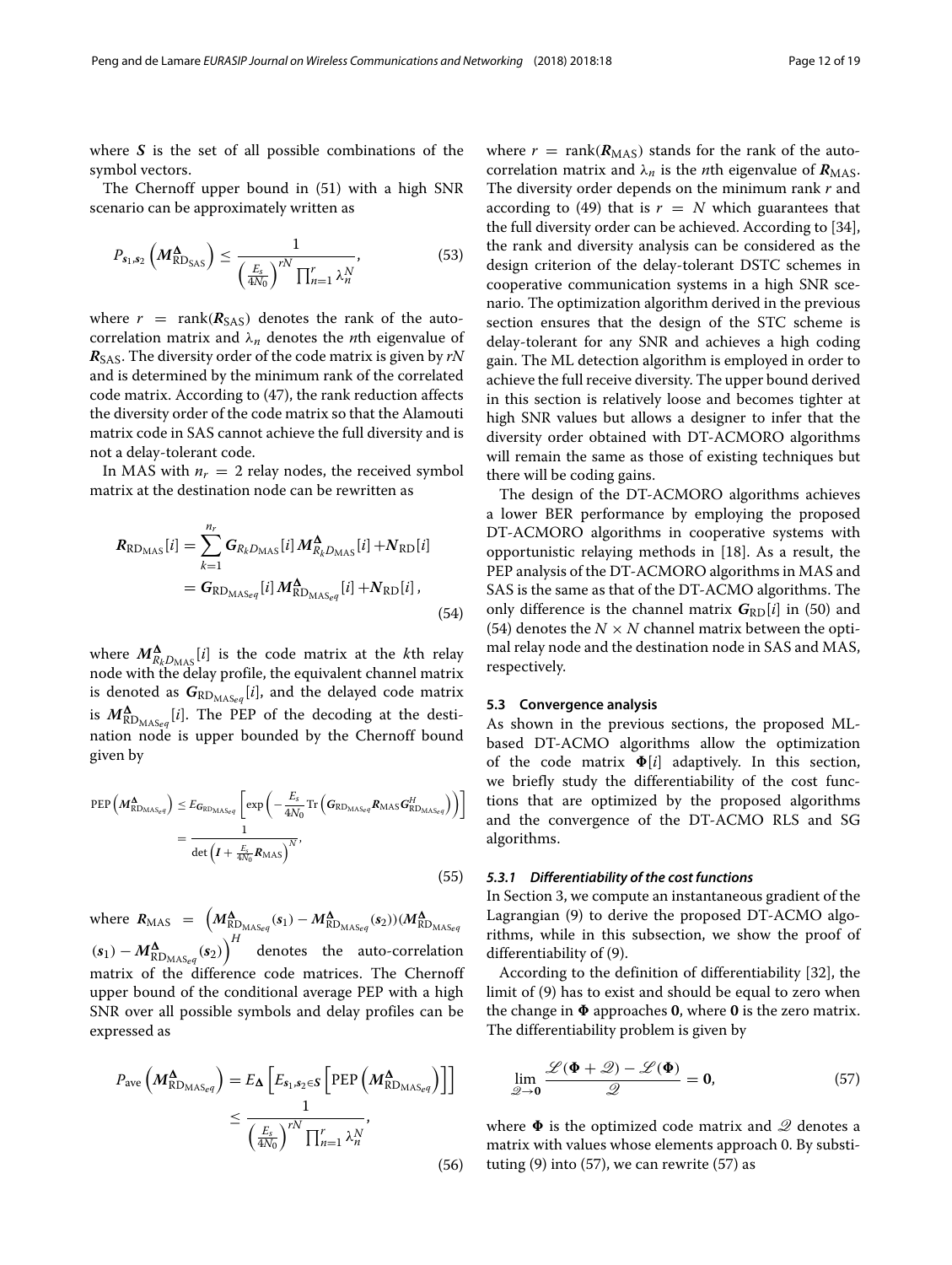where *S* is the set of all possible combinations of the symbol vectors.

The Chernoff upper bound in [\(51\)](#page-10-2) with a high SNR scenario can be approximately written as

$$
P_{s_1,s_2}\left(M^{\Delta}_{\text{RD}_{\text{SAS}}}\right) \leq \frac{1}{\left(\frac{E_s}{4N_0}\right)^{rN} \prod_{n=1}^r \lambda_n^N},\tag{53}
$$

where  $r = \text{rank}(R_{SAS})$  denotes the rank of the autocorrelation matrix and λ*<sup>n</sup>* denotes the *n*th eigenvalue of *R*SAS. The diversity order of the code matrix is given by *rN* and is determined by the minimum rank of the correlated code matrix. According to [\(47\)](#page-10-3), the rank reduction affects the diversity order of the code matrix so that the Alamouti matrix code in SAS cannot achieve the full diversity and is not a delay-tolerant code.

In MAS with  $n_r = 2$  relay nodes, the received symbol matrix at the destination node can be rewritten as

$$
R_{\text{RD}_{\text{MAS}}}[i] = \sum_{k=1}^{n_r} G_{R_k D_{\text{MAS}}}[i] M_{R_k D_{\text{MAS}}}[i] + N_{\text{RD}}[i]
$$
  
= 
$$
G_{\text{RD}_{\text{MAS}_{eq}}}[i] M_{\text{RD}_{\text{MAS}_{eq}}}[i] + N_{\text{RD}}[i],
$$
 (54)

where  $M_{R_kD_{\text{MAS}}}[i]$  is the code matrix at the *k*th relay node with the delay profile, the equivalent channel matrix is denoted as  $G_{\text{RD}_{\text{MAS}_eq}}[i]$ , and the delayed code matrix is  $M^{\mathbf{\Delta}}_{\text{RD}_{\text{MAS}_e q}}[i]$ . The PEP of the decoding at the destination node is upper bounded by the Chernoff bound given by

$$
\begin{split} \text{PEP}\left(M_{\text{RD}_{\text{MAS}_e q}}^{\Delta}\right) &\leq E_{\mathbf{G}_{\text{RD}_{\text{MAS}_e q}}}\left[\exp\left(-\frac{E_s}{4N_0}\text{Tr}\left(\mathbf{G}_{\text{RD}_{\text{MAS}_e q}}\mathbf{R}_{\text{MAS}}\mathbf{G}_{\text{RD}_{\text{MAS}_e q}}^H\right)\right)\right] \\ &= \frac{1}{\det\left(I + \frac{E_s}{4N_0}\mathbf{R}_{\text{MAS}}\right)^N},\end{split} \tag{55}
$$

where  $R_{\text{MAS}} = \left( M_{\text{RD}_{\text{MAS}}g}^{\Delta}(s_1) - M_{\text{RD}_{\text{MAS}}g}^{\Delta}(s_2) \right) (M_{\text{RD}_{\text{MAS}}g}^{\Delta}(s_1))$  $\left( \mathbf{s}_1 \right) - M^{\mathbf{\Delta}}_{\text{RD}_{\text{MAS}_\text{eq}} }(\mathbf{s}_2) \Big)^H$  denotes the auto-correlation matrix of the difference code matrices. The Chernoff upper bound of the conditional average PEP with a high SNR over all possible symbols and delay profiles can be expressed as

$$
P_{\text{ave}}\left(M_{\text{RD}_{\text{MAS}_{eq}}}^{\Delta}\right) = E_{\Delta}\left[E_{s_1, s_2 \in \mathcal{S}}\left[\text{PEP}\left(M_{\text{RD}_{\text{MAS}_{eq}}}^{\Delta}\right)\right]\right]
$$

$$
\leq \frac{1}{\left(\frac{E_s}{4N_0}\right)^{rN}\prod_{n=1}^r \lambda_n^N},\tag{56}
$$

where  $r = \text{rank}(R_{\text{MAS}})$  stands for the rank of the autocorrelation matrix and  $\lambda_n$  is the *n*th eigenvalue of  $R_{\text{MAS}}$ . The diversity order depends on the minimum rank *r* and according to [\(49\)](#page-10-4) that is  $r = N$  which guarantees that the full diversity order can be achieved. According to [\[34\]](#page-18-9), the rank and diversity analysis can be considered as the design criterion of the delay-tolerant DSTC schemes in cooperative communication systems in a high SNR scenario. The optimization algorithm derived in the previous section ensures that the design of the STC scheme is delay-tolerant for any SNR and achieves a high coding gain. The ML detection algorithm is employed in order to achieve the full receive diversity. The upper bound derived in this section is relatively loose and becomes tighter at high SNR values but allows a designer to infer that the diversity order obtained with DT-ACMORO algorithms will remain the same as those of existing techniques but there will be coding gains.

<span id="page-11-0"></span>The design of the DT-ACMORO algorithms achieves a lower BER performance by employing the proposed DT-ACMORO algorithms in cooperative systems with opportunistic relaying methods in [\[18\]](#page-17-18). As a result, the PEP analysis of the DT-ACMORO algorithms in MAS and SAS is the same as that of the DT-ACMO algorithms. The only difference is the channel matrix  $G_{RD}[i]$  in [\(50\)](#page-10-5) and [\(54\)](#page-11-0) denotes the  $N \times N$  channel matrix between the optimal relay node and the destination node in SAS and MAS, respectively.

# **5.3 Convergence analysis**

As shown in the previous sections, the proposed MLbased DT-ACMO algorithms allow the optimization of the code matrix  $\Phi[i]$  adaptively. In this section, we briefly study the differentiability of the cost functions that are optimized by the proposed algorithms and the convergence of the DT-ACMO RLS and SG algorithms.

## *5.3.1 Differentiability of the cost functions*

In Section [3,](#page-4-0) we compute an instantaneous gradient of the Lagrangian [\(9\)](#page-4-3) to derive the proposed DT-ACMO algorithms, while in this subsection, we show the proof of differentiability of [\(9\)](#page-4-3).

According to the definition of differentiability [\[32\]](#page-18-7), the limit of [\(9\)](#page-4-3) has to exist and should be equal to zero when the change in  $\Phi$  approaches **0**, where **0** is the zero matrix. The differentiability problem is given by

<span id="page-11-1"></span>
$$
\lim_{\mathcal{Q}\to 0} \frac{\mathcal{L}(\Phi + \mathcal{Q}) - \mathcal{L}(\Phi)}{\mathcal{Q}} = 0, \tag{57}
$$

where  $\Phi$  is the optimized code matrix and  $\mathscr Q$  denotes a matrix with values whose elements approach 0. By substituting  $(9)$  into  $(57)$ , we can rewrite  $(57)$  as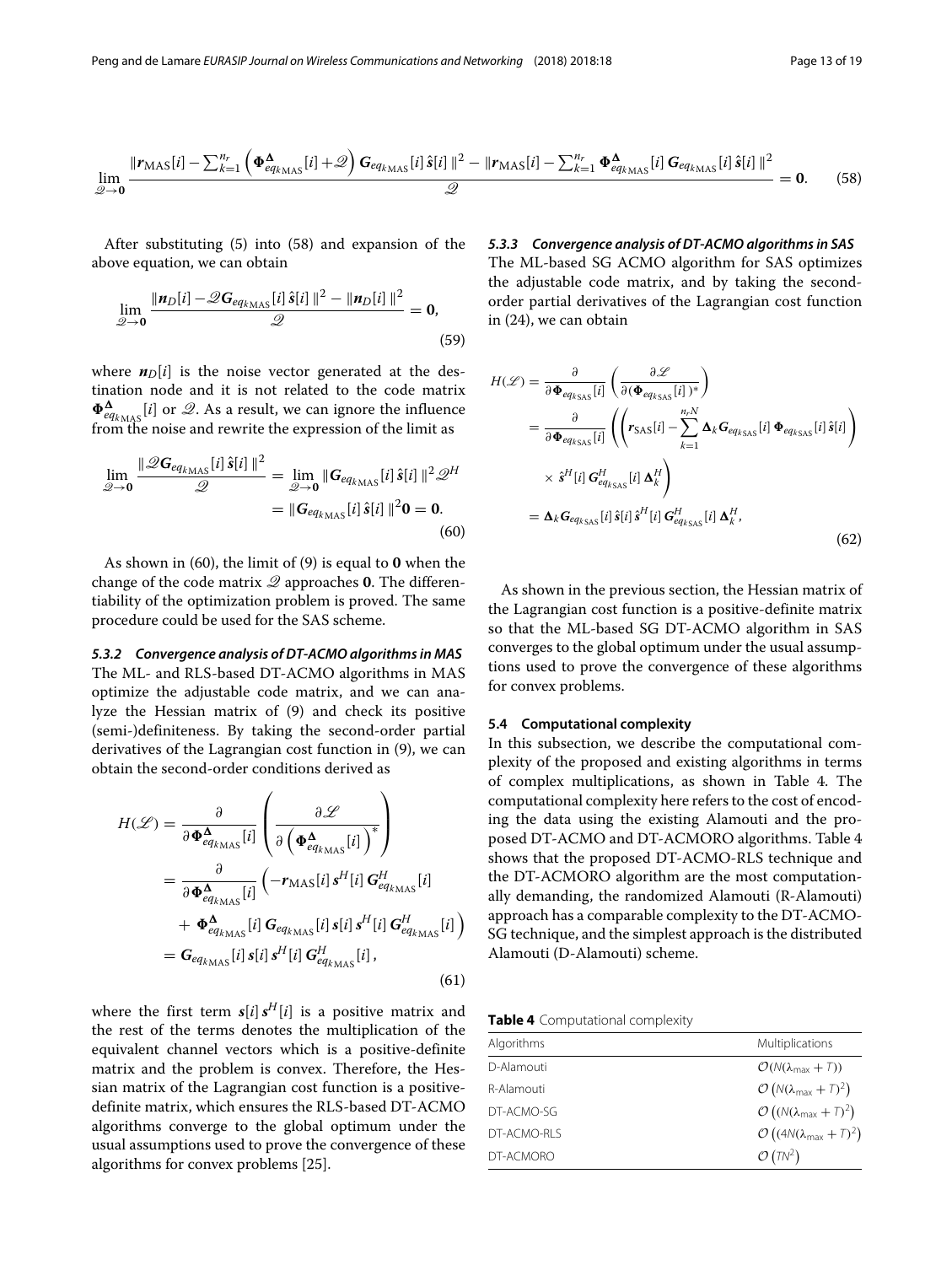<span id="page-12-0"></span>
$$
\lim_{\mathcal{Q}\to\mathbf{0}}\frac{\|\mathbf{r}_{\text{MAS}}[i] - \sum_{k=1}^{n_r}\left(\boldsymbol{\Phi}_{eq_{k_{\text{MAS}}}}^{\boldsymbol{\Delta}}[i] + \mathcal{Q}\right)\mathbf{G}_{eq_{k_{\text{MAS}}}}[i]\hat{\mathbf{s}}[i]\|^2 - \|\mathbf{r}_{\text{MAS}}[i] - \sum_{k=1}^{n_r}\boldsymbol{\Phi}_{eq_{k_{\text{MAS}}}}^{\boldsymbol{\Delta}}[i]\mathbf{G}_{eq_{k_{\text{MAS}}}}[i]\hat{\mathbf{s}}[i]\|^2}{\mathcal{Q}} = \mathbf{0}.\tag{58}
$$

After substituting [\(5\)](#page-3-4) into [\(58\)](#page-12-0) and expansion of the above equation, we can obtain

$$
\lim_{\mathscr{Q}\to 0} \frac{\|\mathbf{n}_D[i] - \mathscr{Q}G_{eq_{k_{\text{MAS}}}}[i]\,\hat{\mathbf{s}}[i]\,\|^2 - \|\mathbf{n}_D[i]\,\|^2}{\mathscr{Q}} = \mathbf{0},\tag{59}
$$

where  $n_D[i]$  is the noise vector generated at the destination node and it is not related to the code matrix  $\Phi_{eq_{k_{\text{MAS}}}}^{\Delta}[i]$  or  $\mathcal{Q}$ . As a result, we can ignore the influence from the noise and rewrite the expression of the limit as

$$
\lim_{\mathscr{Q}\to\mathbf{0}}\frac{\|\mathscr{Q}G_{eq_{k_{\text{MAS}}}}[i]\,\hat{\mathbf{s}}[i]\,\|^2}{\mathscr{Q}} = \lim_{\mathscr{Q}\to\mathbf{0}}\|\mathbf{G}_{eq_{k_{\text{MAS}}}}[i]\,\hat{\mathbf{s}}[i]\,\|^2\mathscr{Q}^H
$$
\n
$$
= \|\mathbf{G}_{eq_{k_{\text{MAS}}}}[i]\,\hat{\mathbf{s}}[i]\,\|^2\mathbf{0} = \mathbf{0}.\tag{60}
$$

As shown in [\(60\)](#page-12-1), the limit of [\(9\)](#page-4-3) is equal to **0** when the change of the code matrix Q approaches **0**. The differentiability of the optimization problem is proved. The same procedure could be used for the SAS scheme.

*5.3.2 Convergence analysis of DT-ACMO algorithms in MAS* The ML- and RLS-based DT-ACMO algorithms in MAS optimize the adjustable code matrix, and we can analyze the Hessian matrix of [\(9\)](#page-4-3) and check its positive (semi-)definiteness. By taking the second-order partial derivatives of the Lagrangian cost function in [\(9\)](#page-4-3), we can obtain the second-order conditions derived as

$$
H(\mathcal{L}) = \frac{\partial}{\partial \Phi_{eq_{k_{\text{MAS}}}}^{\Delta}[i]} \left( \frac{\partial \mathcal{L}}{\partial \left( \Phi_{eq_{k_{\text{MAS}}}}^{\Delta}[i] \right)^*} \right)
$$
  
= 
$$
\frac{\partial}{\partial \Phi_{eq_{k_{\text{MAS}}}}^{\Delta}[i]} \left( -r_{\text{MAS}}[i] s^H[i] G_{eq_{k_{\text{MAS}}}}^H[i]
$$
  
+ 
$$
\Phi_{eq_{k_{\text{MAS}}}}^{\Delta}[i] G_{eq_{k_{\text{MAS}}}}[i] s[i] s^H[i] G_{eq_{k_{\text{MAS}}}}^H[i]
$$
  
= 
$$
G_{eq_{k_{\text{MAS}}}}[i] s[i] s^H[i] G_{eq_{k_{\text{MAS}}}}^H[i], \qquad (61)
$$

where the first term  $s[i] s<sup>H</sup>[i]$  is a positive matrix and the rest of the terms denotes the multiplication of the equivalent channel vectors which is a positive-definite matrix and the problem is convex. Therefore, the Hessian matrix of the Lagrangian cost function is a positivedefinite matrix, which ensures the RLS-based DT-ACMO algorithms converge to the global optimum under the usual assumptions used to prove the convergence of these algorithms for convex problems [\[25\]](#page-18-0).

# *5.3.3 Convergence analysis of DT-ACMO algorithms in SAS*

The ML-based SG ACMO algorithm for SAS optimizes the adjustable code matrix, and by taking the secondorder partial derivatives of the Lagrangian cost function in [\(24\)](#page-6-5), we can obtain

<span id="page-12-1"></span>
$$
H(\mathcal{L}) = \frac{\partial}{\partial \Phi_{eq_{kSS}}[i]} \left( \frac{\partial \mathcal{L}}{\partial (\Phi_{eq_{kSS}}[i])^*} \right)
$$
  
\n
$$
= \frac{\partial}{\partial \Phi_{eq_{kSS}}[i]} \left( \left( r_{SAS}[i] - \sum_{k=1}^{n_r N} \Delta_k G_{eq_{kSS}}[i] \Phi_{eq_{kSS}}[i] \hat{s}[i] \right) \right)
$$
  
\n
$$
\times \hat{s}^H[i] G_{eq_{kSS}}^H[i] \Delta_k^H
$$
  
\n
$$
= \Delta_k G_{eq_{kSS}}[i] \hat{s}[i] \hat{s}^H[i] G_{eq_{kSS}}^H[i] \Delta_k^H,
$$
\n(62)

As shown in the previous section, the Hessian matrix of the Lagrangian cost function is a positive-definite matrix so that the ML-based SG DT-ACMO algorithm in SAS converges to the global optimum under the usual assumptions used to prove the convergence of these algorithms for convex problems.

#### **5.4 Computational complexity**

In this subsection, we describe the computational complexity of the proposed and existing algorithms in terms of complex multiplications, as shown in Table [4.](#page-12-2) The computational complexity here refers to the cost of encoding the data using the existing Alamouti and the proposed DT-ACMO and DT-ACMORO algorithms. Table [4](#page-12-2) shows that the proposed DT-ACMO-RLS technique and the DT-ACMORO algorithm are the most computationally demanding, the randomized Alamouti (R-Alamouti) approach has a comparable complexity to the DT-ACMO-SG technique, and the simplest approach is the distributed Alamouti (D-Alamouti) scheme.

**Table 4** Computational complexity

<span id="page-12-2"></span>

| Algorithms  | Multiplications                                                 |  |
|-------------|-----------------------------------------------------------------|--|
| D-Alamouti  | $\mathcal{O}(N(\lambda_{\text{max}}+T))$                        |  |
| R-Alamouti  | $\mathcal{O}\left(N(\lambda_{\text{max}}+\mathcal{I})^2\right)$ |  |
| DT-ACMO-SG  | $\mathcal{O}\left((N(\lambda_{\max}+T)^2\right)$                |  |
| DT-ACMO-RLS | $\mathcal{O}\left((4N(\lambda_{\text{max}}+T)^2\right)$         |  |
| DT-ACMORO   | $\mathcal{O}(TN^2)$                                             |  |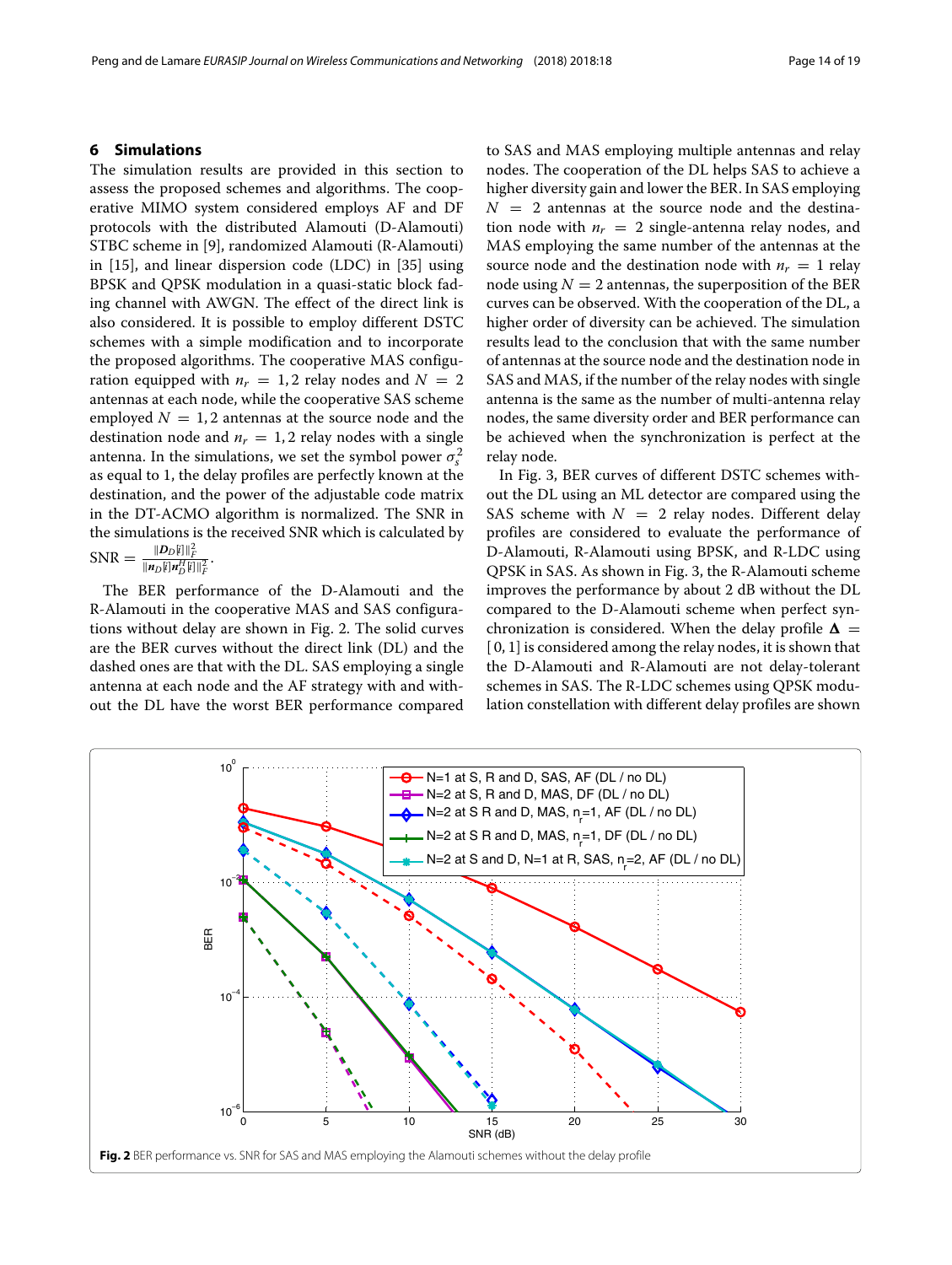#### <span id="page-13-0"></span>**6 Simulations**

The simulation results are provided in this section to assess the proposed schemes and algorithms. The cooperative MIMO system considered employs AF and DF protocols with the distributed Alamouti (D-Alamouti) STBC scheme in [\[9\]](#page-17-7), randomized Alamouti (R-Alamouti) in [\[15\]](#page-17-13), and linear dispersion code (LDC) in [\[35\]](#page-18-10) using BPSK and QPSK modulation in a quasi-static block fading channel with AWGN. The effect of the direct link is also considered. It is possible to employ different DSTC schemes with a simple modification and to incorporate the proposed algorithms. The cooperative MAS configuration equipped with  $n_r = 1, 2$  relay nodes and  $N = 2$ antennas at each node, while the cooperative SAS scheme employed  $N = 1, 2$  antennas at the source node and the destination node and  $n_r = 1, 2$  relay nodes with a single antenna. In the simulations, we set the symbol power  $\sigma_s^2$ as equal to 1, the delay profiles are perfectly known at the destination, and the power of the adjustable code matrix in the DT-ACMO algorithm is normalized. The SNR in the simulations is the received SNR which is calculated by  $SNR = \frac{\|D_D[i]\|_F^2}{\|n_D[i]\|_F^H[i]}$  $||D_D[i]||_F^2$  $\|\boldsymbol{n}_D[\iota]\boldsymbol{n}_D^H[\iota]\|_F^2$ .

The BER performance of the D-Alamouti and the R-Alamouti in the cooperative MAS and SAS configurations without delay are shown in Fig. [2.](#page-13-1) The solid curves are the BER curves without the direct link (DL) and the dashed ones are that with the DL. SAS employing a single antenna at each node and the AF strategy with and without the DL have the worst BER performance compared

to SAS and MAS employing multiple antennas and relay nodes. The cooperation of the DL helps SAS to achieve a higher diversity gain and lower the BER. In SAS employing  $N = 2$  antennas at the source node and the destination node with  $n_r = 2$  single-antenna relay nodes, and MAS employing the same number of the antennas at the source node and the destination node with  $n_r = 1$  relay node using  $N = 2$  antennas, the superposition of the BER curves can be observed. With the cooperation of the DL, a higher order of diversity can be achieved. The simulation results lead to the conclusion that with the same number of antennas at the source node and the destination node in SAS and MAS, if the number of the relay nodes with single antenna is the same as the number of multi-antenna relay nodes, the same diversity order and BER performance can be achieved when the synchronization is perfect at the relay node.

In Fig. [3,](#page-14-0) BER curves of different DSTC schemes without the DL using an ML detector are compared using the SAS scheme with  $N = 2$  relay nodes. Different delay profiles are considered to evaluate the performance of D-Alamouti, R-Alamouti using BPSK, and R-LDC using QPSK in SAS. As shown in Fig. [3,](#page-14-0) the R-Alamouti scheme improves the performance by about 2 dB without the DL compared to the D-Alamouti scheme when perfect synchronization is considered. When the delay profile  $\Delta =$  $[0, 1]$  is considered among the relay nodes, it is shown that the D-Alamouti and R-Alamouti are not delay-tolerant schemes in SAS. The R-LDC schemes using QPSK modulation constellation with different delay profiles are shown

<span id="page-13-1"></span>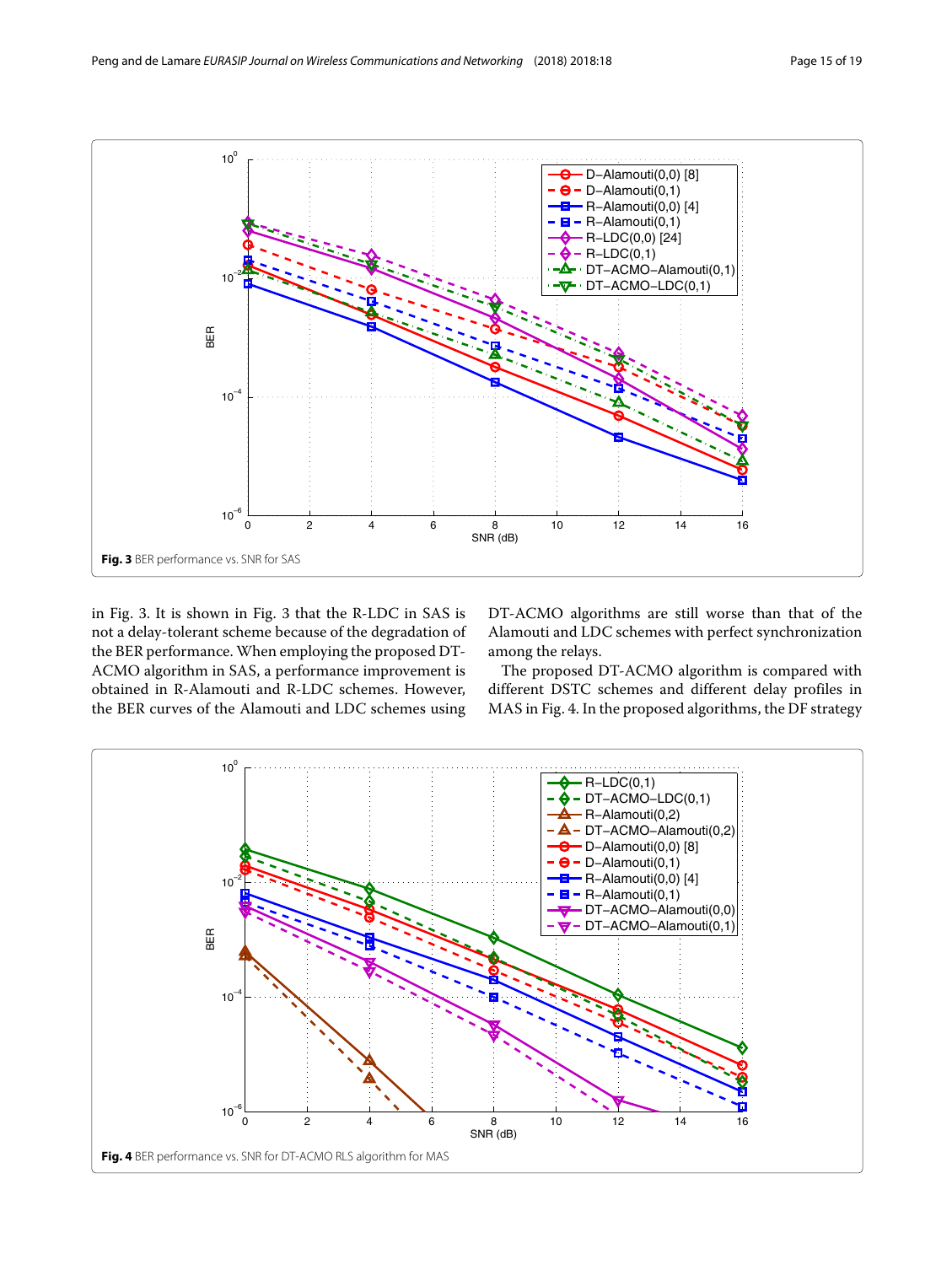

<span id="page-14-0"></span>in Fig. [3.](#page-14-0) It is shown in Fig. [3](#page-14-0) that the R-LDC in SAS is not a delay-tolerant scheme because of the degradation of the BER performance. When employing the proposed DT-ACMO algorithm in SAS, a performance improvement is obtained in R-Alamouti and R-LDC schemes. However, the BER curves of the Alamouti and LDC schemes using DT-ACMO algorithms are still worse than that of the Alamouti and LDC schemes with perfect synchronization among the relays.

The proposed DT-ACMO algorithm is compared with different DSTC schemes and different delay profiles in MAS in Fig. [4.](#page-14-1) In the proposed algorithms, the DF strategy

<span id="page-14-1"></span>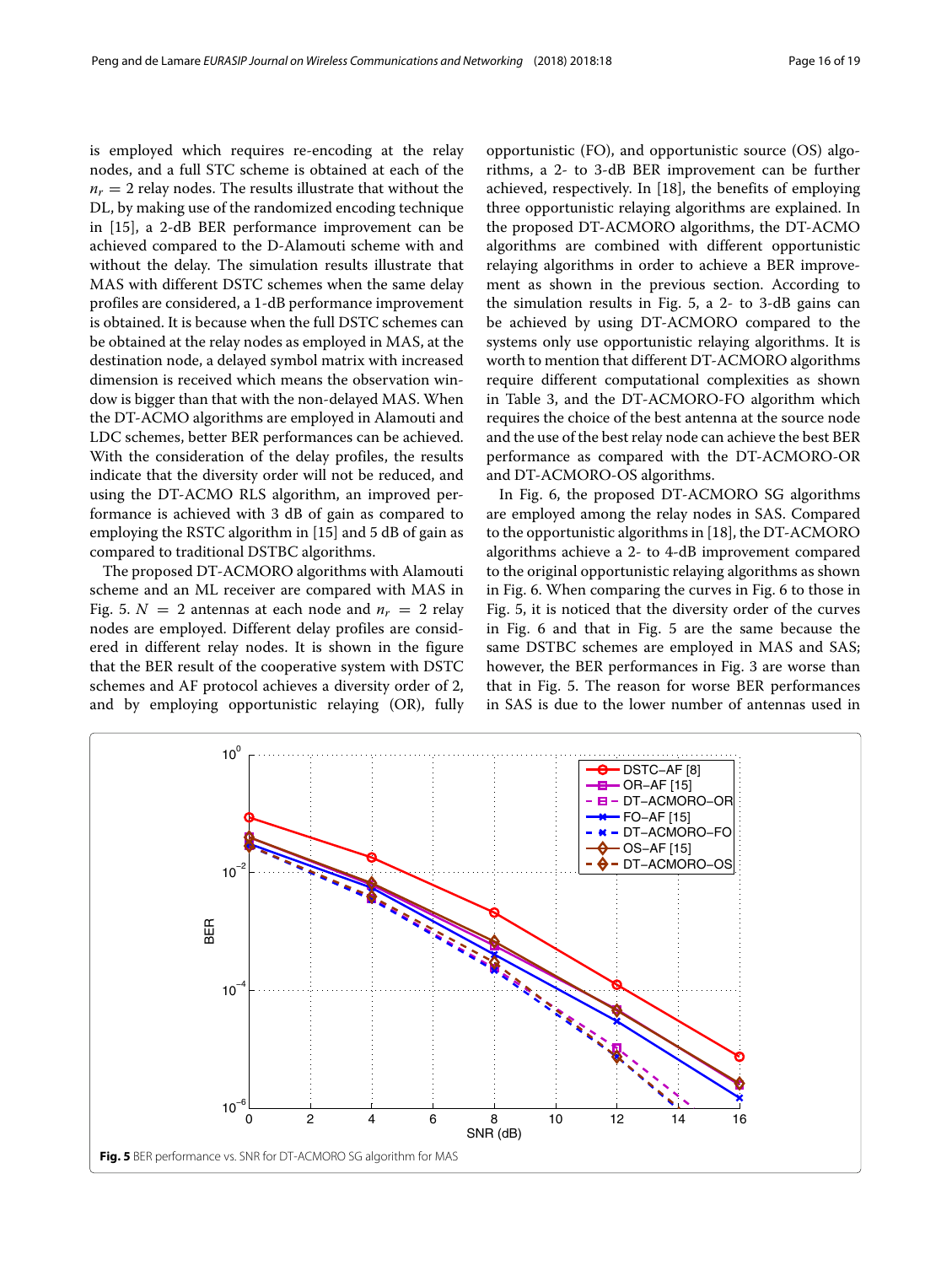is employed which requires re-encoding at the relay nodes, and a full STC scheme is obtained at each of the  $n_r = 2$  relay nodes. The results illustrate that without the DL, by making use of the randomized encoding technique in [\[15\]](#page-17-13), a 2-dB BER performance improvement can be achieved compared to the D-Alamouti scheme with and without the delay. The simulation results illustrate that MAS with different DSTC schemes when the same delay profiles are considered, a 1-dB performance improvement is obtained. It is because when the full DSTC schemes can be obtained at the relay nodes as employed in MAS, at the destination node, a delayed symbol matrix with increased dimension is received which means the observation window is bigger than that with the non-delayed MAS. When the DT-ACMO algorithms are employed in Alamouti and LDC schemes, better BER performances can be achieved. With the consideration of the delay profiles, the results indicate that the diversity order will not be reduced, and using the DT-ACMO RLS algorithm, an improved performance is achieved with 3 dB of gain as compared to employing the RSTC algorithm in [\[15\]](#page-17-13) and 5 dB of gain as compared to traditional DSTBC algorithms.

The proposed DT-ACMORO algorithms with Alamouti scheme and an ML receiver are compared with MAS in Fig. [5.](#page-15-0)  $N = 2$  antennas at each node and  $n_r = 2$  relay nodes are employed. Different delay profiles are considered in different relay nodes. It is shown in the figure that the BER result of the cooperative system with DSTC schemes and AF protocol achieves a diversity order of 2, and by employing opportunistic relaying (OR), fully

opportunistic (FO), and opportunistic source (OS) algorithms, a 2- to 3-dB BER improvement can be further achieved, respectively. In [\[18\]](#page-17-18), the benefits of employing three opportunistic relaying algorithms are explained. In the proposed DT-ACMORO algorithms, the DT-ACMO algorithms are combined with different opportunistic relaying algorithms in order to achieve a BER improvement as shown in the previous section. According to the simulation results in Fig. [5,](#page-15-0) a 2- to 3-dB gains can be achieved by using DT-ACMORO compared to the systems only use opportunistic relaying algorithms. It is worth to mention that different DT-ACMORO algorithms require different computational complexities as shown in Table [3,](#page-9-2) and the DT-ACMORO-FO algorithm which requires the choice of the best antenna at the source node and the use of the best relay node can achieve the best BER performance as compared with the DT-ACMORO-OR and DT-ACMORO-OS algorithms.

In Fig. [6,](#page-16-2) the proposed DT-ACMORO SG algorithms are employed among the relay nodes in SAS. Compared to the opportunistic algorithms in [\[18\]](#page-17-18), the DT-ACMORO algorithms achieve a 2- to 4-dB improvement compared to the original opportunistic relaying algorithms as shown in Fig. [6.](#page-16-2) When comparing the curves in Fig. [6](#page-16-2) to those in Fig. [5,](#page-15-0) it is noticed that the diversity order of the curves in Fig. [6](#page-16-2) and that in Fig. [5](#page-15-0) are the same because the same DSTBC schemes are employed in MAS and SAS; however, the BER performances in Fig. [3](#page-14-0) are worse than that in Fig. [5.](#page-15-0) The reason for worse BER performances in SAS is due to the lower number of antennas used in

<span id="page-15-0"></span>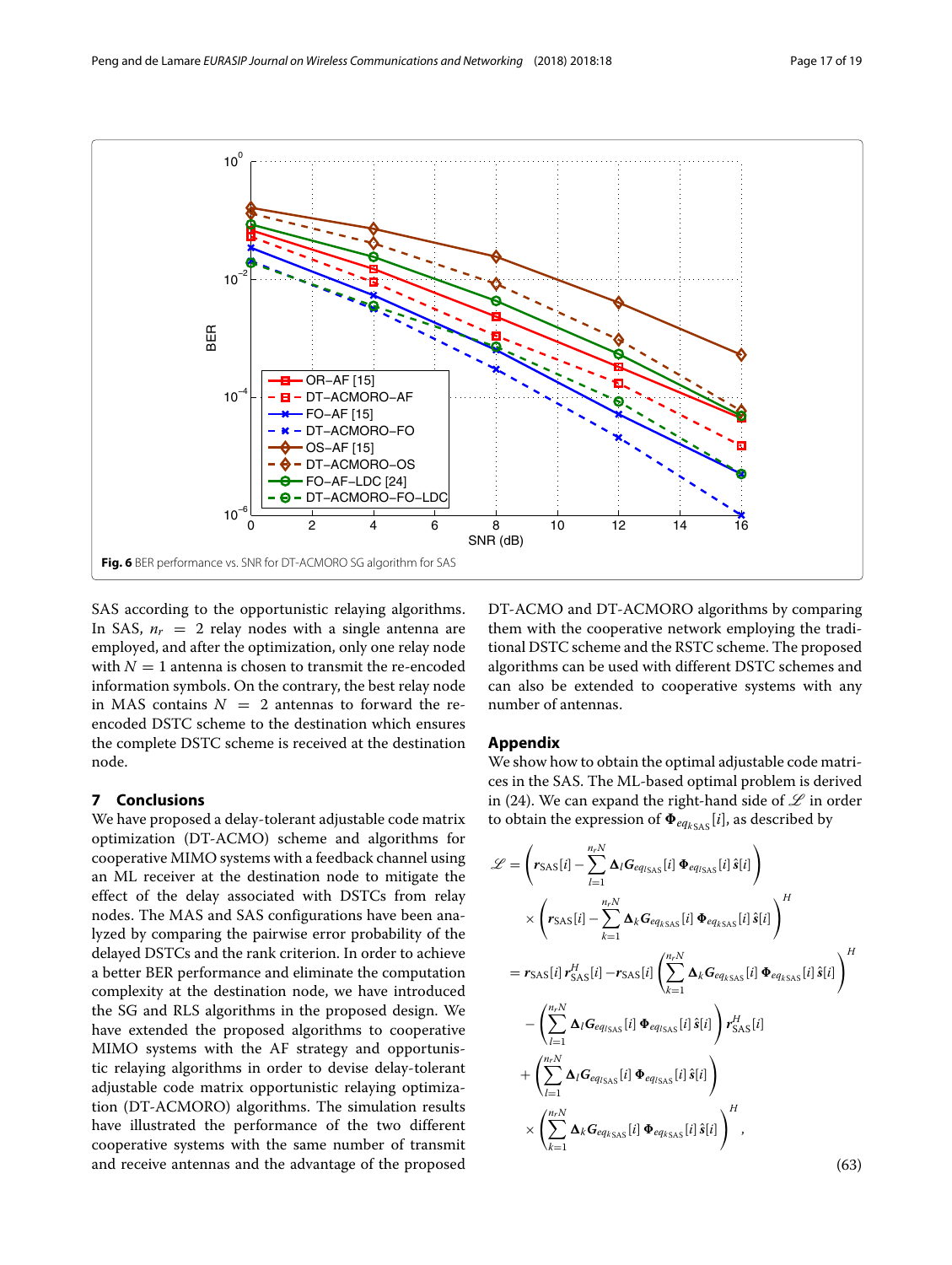

<span id="page-16-2"></span>SAS according to the opportunistic relaying algorithms. In SAS,  $n_r = 2$  relay nodes with a single antenna are employed, and after the optimization, only one relay node with  $N = 1$  antenna is chosen to transmit the re-encoded information symbols. On the contrary, the best relay node in MAS contains  $N = 2$  antennas to forward the reencoded DSTC scheme to the destination which ensures the complete DSTC scheme is received at the destination node.

# <span id="page-16-0"></span>**7 Conclusions**

We have proposed a delay-tolerant adjustable code matrix optimization (DT-ACMO) scheme and algorithms for cooperative MIMO systems with a feedback channel using an ML receiver at the destination node to mitigate the effect of the delay associated with DSTCs from relay nodes. The MAS and SAS configurations have been analyzed by comparing the pairwise error probability of the delayed DSTCs and the rank criterion. In order to achieve a better BER performance and eliminate the computation complexity at the destination node, we have introduced the SG and RLS algorithms in the proposed design. We have extended the proposed algorithms to cooperative MIMO systems with the AF strategy and opportunistic relaying algorithms in order to devise delay-tolerant adjustable code matrix opportunistic relaying optimization (DT-ACMORO) algorithms. The simulation results have illustrated the performance of the two different cooperative systems with the same number of transmit and receive antennas and the advantage of the proposed DT-ACMO and DT-ACMORO algorithms by comparing them with the cooperative network employing the traditional DSTC scheme and the RSTC scheme. The proposed algorithms can be used with different DSTC schemes and can also be extended to cooperative systems with any number of antennas.

# <span id="page-16-1"></span>**Appendix**

We show how to obtain the optimal adjustable code matrices in the SAS. The ML-based optimal problem is derived in [\(24\)](#page-6-5). We can expand the right-hand side of  $\mathscr L$  in order to obtain the expression of  $\Phi_{eq_k s}$  [*i*], as described by

$$
\mathcal{L} = \left(r_{\text{SAS}}[i] - \sum_{l=1}^{n_r N} \Delta_l G_{eq_{\text{ISAS}}}[i] \Phi_{eq_{\text{ISAS}}}[i] \hat{s}[i] \right)
$$
  
\n
$$
\times \left(r_{\text{SAS}}[i] - \sum_{k=1}^{n_r N} \Delta_k G_{eq_{\text{KSAS}}}[i] \Phi_{eq_{\text{KSAS}}}[i] \hat{s}[i] \right)^H
$$
  
\n
$$
= r_{\text{SAS}}[i] r_{\text{SAS}}^H[i] - r_{\text{SAS}}[i] \left(\sum_{k=1}^{n_r N} \Delta_k G_{eq_{\text{KSAS}}}[i] \Phi_{eq_{\text{KSAS}}}[i] \hat{s}[i] \right)^H
$$
  
\n
$$
- \left(\sum_{l=1}^{n_r N} \Delta_l G_{eq_{\text{ISAS}}}[i] \Phi_{eq_{\text{ISAS}}}[i] \hat{s}[i] \right) r_{\text{SAS}}^H[i]
$$
  
\n
$$
+ \left(\sum_{l=1}^{n_r N} \Delta_l G_{eq_{\text{ISAS}}}[i] \Phi_{eq_{\text{ISAS}}}[i] \hat{s}[i] \right)
$$
  
\n
$$
\times \left(\sum_{k=1}^{n_r N} \Delta_k G_{eq_{\text{KSAS}}}[i] \Phi_{eq_{\text{KSAS}}}[i] \hat{s}[i] \right)^H,
$$
  
\n(63)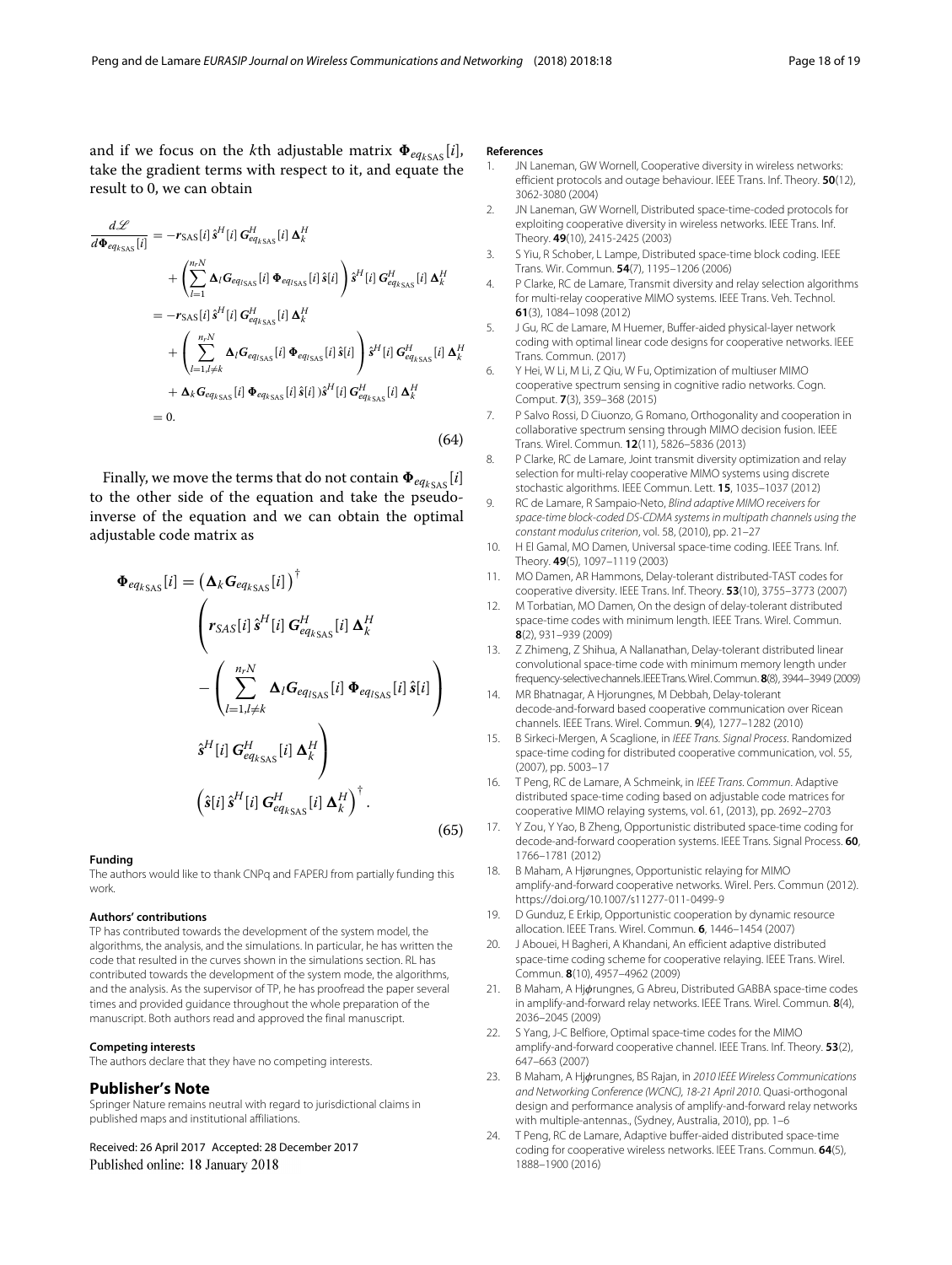and if we focus on the *k*th adjustable matrix  $\Phi_{eq_{kSAS}}[i]$ , take the gradient terms with respect to it, and equate the result to 0, we can obtain

$$
\frac{d\mathcal{L}}{d\Phi_{eq_{kSAS}}[i]} = -r_{SAS}[i]\hat{s}^{H}[i] G_{eq_{kSAS}}^{H}[i] \Delta_{k}^{H}
$$
\n
$$
+ \left(\sum_{l=1}^{n_{r}N} \Delta_{l} G_{eq_{lSAS}}[i] \Phi_{eq_{lSAS}}[i]\hat{s}[i]\right) \hat{s}^{H}[i] G_{eq_{kSAS}}^{H}[i] \Delta_{k}^{H}
$$
\n
$$
= -r_{SAS}[i]\hat{s}^{H}[i] G_{eq_{kSAS}}^{H}[i] \Delta_{k}^{H}
$$
\n
$$
+ \left(\sum_{l=1, l \neq k}^{n_{r}N} \Delta_{l} G_{eq_{lSAS}}[i] \Phi_{eq_{lSAS}}[i]\hat{s}[i]\right) \hat{s}^{H}[i] G_{eq_{kSAS}}^{H}[i] \Delta_{k}^{H}
$$
\n
$$
+ \Delta_{k} G_{eq_{kSAS}}[i] \Phi_{eq_{kSAS}}[i]\hat{s}[i]\hat{s}^{H}[i] G_{eq_{kSAS}}^{H}[i] \Delta_{k}^{H}
$$
\n
$$
= 0.
$$
\n(64)

Finally, we move the terms that do not contain  $\Phi_{eq_{kSAS}}[i]$ to the other side of the equation and take the pseudoinverse of the equation and we can obtain the optimal adjustable code matrix as

$$
\Phi_{eq_{kSAS}}[i] = \left(\mathbf{\Delta}_{k} \mathbf{G}_{eq_{kSAS}}[i]\right)^{\dagger}
$$
\n
$$
\begin{pmatrix}\n\mathbf{r}_{SAS}[i]\hat{s}^{H}[i]\mathbf{G}_{eq_{kSAS}}^{H}[i]\mathbf{\Delta}_{k}^{H} \\
-\left(\sum_{l=1,l\neq k}^{n,N} \mathbf{\Delta}_{l} \mathbf{G}_{eq_{lSAS}}[i]\mathbf{\Phi}_{eq_{lSAS}}[i]\hat{s}[i]\right) \\
\hat{s}^{H}[i]\mathbf{G}_{eq_{kSAS}}^{H}[i]\mathbf{\Delta}_{k}^{H}\n\end{pmatrix}
$$
\n
$$
\left(\hat{s}[i]\hat{s}^{H}[i]\mathbf{G}_{eq_{kSAS}}^{H}[i]\mathbf{\Delta}_{k}^{H}\right)^{\dagger}.
$$
\n(65)

#### **Funding**

The authors would like to thank CNPq and FAPERJ from partially funding this work.

#### **Authors' contributions**

TP has contributed towards the development of the system model, the algorithms, the analysis, and the simulations. In particular, he has written the code that resulted in the curves shown in the simulations section. RL has contributed towards the development of the system mode, the algorithms, and the analysis. As the supervisor of TP, he has proofread the paper several times and provided guidance throughout the whole preparation of the manuscript. Both authors read and approved the final manuscript.

#### **Competing interests**

The authors declare that they have no competing interests.

#### **Publisher's Note**

Springer Nature remains neutral with regard to jurisdictional claims in published maps and institutional affiliations.

Received: 26 April 2017 Accepted: 28 December 2017 Published online: 18 January 2018

#### **References**

- <span id="page-17-0"></span>JN Laneman, GW Wornell, Cooperative diversity in wireless networks: efficient protocols and outage behaviour. IEEE Trans. Inf. Theory. **50**(12), 3062-3080 (2004)
- <span id="page-17-4"></span>2. JN Laneman, GW Wornell, Distributed space-time-coded protocols for exploiting cooperative diversity in wireless networks. IEEE Trans. Inf. Theory. **49**(10), 2415-2425 (2003)
- <span id="page-17-5"></span>3. S Yiu, R Schober, L Lampe, Distributed space-time block coding. IEEE Trans. Wir. Commun. **54**(7), 1195–1206 (2006)
- 4. P Clarke, RC de Lamare, Transmit diversity and relay selection algorithms for multi-relay cooperative MIMO systems. IEEE Trans. Veh. Technol. **61**(3), 1084–1098 (2012)
- <span id="page-17-1"></span>J Gu, RC de Lamare, M Huemer, Buffer-aided physical-layer network coding with optimal linear code designs for cooperative networks. IEEE Trans. Commun. (2017)
- <span id="page-17-2"></span>6. Y Hei, W Li, M Li, Z Qiu, W Fu, Optimization of multiuser MIMO cooperative spectrum sensing in cognitive radio networks. Cogn. Comput. **7**(3), 359–368 (2015)
- <span id="page-17-3"></span>7. P Salvo Rossi, D Ciuonzo, G Romano, Orthogonality and cooperation in collaborative spectrum sensing through MIMO decision fusion. IEEE Trans. Wirel. Commun. **12**(11), 5826–5836 (2013)
- <span id="page-17-6"></span>8. P Clarke, RC de Lamare, Joint transmit diversity optimization and relay selection for multi-relay cooperative MIMO systems using discrete stochastic algorithms. IEEE Commun. Lett. **15**, 1035–1037 (2012)
- <span id="page-17-7"></span>9. RC de Lamare, R Sampaio-Neto, Blind adaptive MIMO receivers for space-time block-coded DS-CDMA systems in multipath channels using the constant modulus criterion, vol. 58, (2010), pp. 21–27
- <span id="page-17-8"></span>10. H El Gamal, MO Damen, Universal space-time coding. IEEE Trans. Inf. Theory. **49**(5), 1097–1119 (2003)
- <span id="page-17-10"></span>11. MO Damen, AR Hammons, Delay-tolerant distributed-TAST codes for cooperative diversity. IEEE Trans. Inf. Theory. **53**(10), 3755–3773 (2007)
- <span id="page-17-11"></span>12. M Torbatian, MO Damen, On the design of delay-tolerant distributed space-time codes with minimum length. IEEE Trans. Wirel. Commun. **8**(2), 931–939 (2009)
- <span id="page-17-12"></span>13. Z Zhimeng, Z Shihua, A Nallanathan, Delay-tolerant distributed linear convolutional space-time code with minimum memory length under frequency-selectivechannels.IEEETrans.Wirel.Commun. **8**(8), 3944–3949 (2009)
- <span id="page-17-9"></span>14. MR Bhatnagar, A Hjorungnes, M Debbah, Delay-tolerant decode-and-forward based cooperative communication over Ricean channels. IEEE Trans. Wirel. Commun. **9**(4), 1277–1282 (2010)
- <span id="page-17-13"></span>15. B Sirkeci-Mergen, A Scaglione, in IEEE Trans. Signal Process. Randomized space-time coding for distributed cooperative communication, vol. 55, (2007), pp. 5003–17
- <span id="page-17-14"></span>16. T Peng, RC de Lamare, A Schmeink, in IEEE Trans. Commun. Adaptive distributed space-time coding based on adjustable code matrices for cooperative MIMO relaying systems, vol. 61, (2013), pp. 2692–2703
- <span id="page-17-15"></span>17. Y Zou, Y Yao, B Zheng, Opportunistic distributed space-time coding for decode-and-forward cooperation systems. IEEE Trans. Signal Process. **60**, 1766–1781 (2012)
- <span id="page-17-18"></span>18. B Maham, A Hjørungnes, Opportunistic relaying for MIMO amplify-and-forward cooperative networks. Wirel. Pers. Commun (2012). <https://doi.org/10.1007/s11277-011-0499-9>
- <span id="page-17-19"></span>19. D Gunduz, E Erkip, Opportunistic cooperation by dynamic resource allocation. IEEE Trans. Wirel. Commun. **6**, 1446–1454 (2007)
- 20. J Abouei, H Bagheri, A Khandani, An efficient adaptive distributed space-time coding scheme for cooperative relaying. IEEE Trans. Wirel. Commun. **8**(10), 4957–4962 (2009)
- 21. B Maham, A Hjørungnes, G Abreu, Distributed GABBA space-time codes in amplify-and-forward relay networks. IEEE Trans. Wirel. Commun. **8**(4), 2036–2045 (2009)
- 22. S Yang, J-C Belfiore, Optimal space-time codes for the MIMO amplify-and-forward cooperative channel. IEEE Trans. Inf. Theory. **53**(2), 647–663 (2007)
- <span id="page-17-16"></span>23. B Maham, A Hjørungnes, BS Rajan, in 2010 IEEE Wireless Communications and Networking Conference (WCNC), 18-21 April 2010. Quasi-orthogonal design and performance analysis of amplify-and-forward relay networks with multiple-antennas., (Sydney, Australia, 2010), pp. 1–6
- <span id="page-17-17"></span>24. T Peng, RC de Lamare, Adaptive buffer-aided distributed space-time coding for cooperative wireless networks. IEEE Trans. Commun. **64**(5), 1888–1900 (2016)